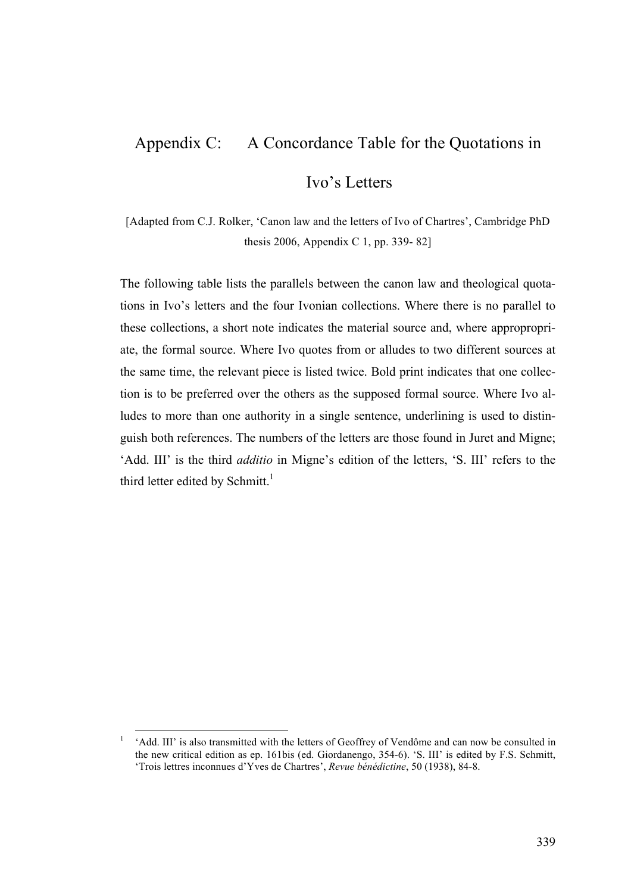## Appendix C: A Concordance Table for the Quotations in

## Ivo's Letters

[Adapted from C.J. Rolker, 'Canon law and the letters of Ivo of Chartres', Cambridge PhD thesis 2006, Appendix C 1, pp. 339- 82]

The following table lists the parallels between the canon law and theological quotations in Ivo's letters and the four Ivonian collections. Where there is no parallel to these collections, a short note indicates the material source and, where appropropriate, the formal source. Where Ivo quotes from or alludes to two different sources at the same time, the relevant piece is listed twice. Bold print indicates that one collection is to be preferred over the others as the supposed formal source. Where Ivo alludes to more than one authority in a single sentence, underlining is used to distinguish both references. The numbers of the letters are those found in Juret and Migne; 'Add. III' is the third *additio* in Migne's edition of the letters, 'S. III' refers to the third letter edited by Schmitt.<sup>1</sup>

<sup>&</sup>lt;sup>1</sup> 'Add. III' is also transmitted with the letters of Geoffrey of Vendôme and can now be consulted in the new critical edition as ep. 161bis (ed. Giordanengo, 354-6). 'S. III' is edited by F.S. Schmitt, 'Trois lettres inconnues d'Yves de Chartres', *Revue bénédictine*, 50 (1938), 84-8.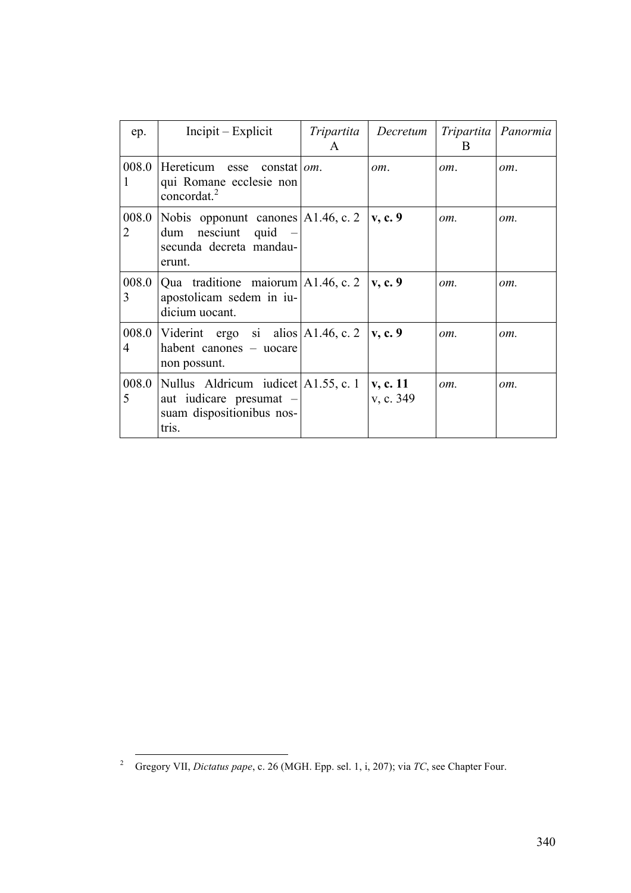| ep.        | $Incipit - Explicit$                                                                                           | Tripartita<br>$\mathsf{A}$ | Decretum              | Tripartita<br><sub>B</sub> | Panormia |
|------------|----------------------------------------------------------------------------------------------------------------|----------------------------|-----------------------|----------------------------|----------|
| 008.0      | Hereticum esse constat   $om$ .<br>qui Romane ecclesie non<br>concordat. $^{2}$                                |                            | om.                   | om.                        | om.      |
| 008.0<br>2 | Nobis opponunt canones $ A1.46, c.2 $<br>$dum$ nesciunt quid –<br>secunda decreta mandau-<br>erunt.            |                            | $\mathbf{v}$ , c. 9   | om.                        | om.      |
| 3          | 008.0   Qua traditione maiorum   A1.46, c. 2<br>apostolicam sedem in iu-<br>dicium uocant.                     |                            | $\mathbf{v}$ , c. 9   | om.                        | om.      |
| 4          | 008.0   Viderint ergo si alios   A1.46, c. 2<br>habent canones – uocare<br>non possunt.                        |                            | $\mathbf{v}$ , c. 9   | om.                        | om.      |
| 5          | 008.0   Nullus Aldricum iudicet   A1.55, c. 1<br>aut iudicare presumat –<br>suam dispositionibus nos-<br>tris. |                            | v, c. 11<br>v, c. 349 | om.                        | om.      |

 <sup>2</sup> Gregory VII, *Dictatus pape*, c. 26 (MGH. Epp. sel. 1, i, 207); via *TC*, see Chapter Four.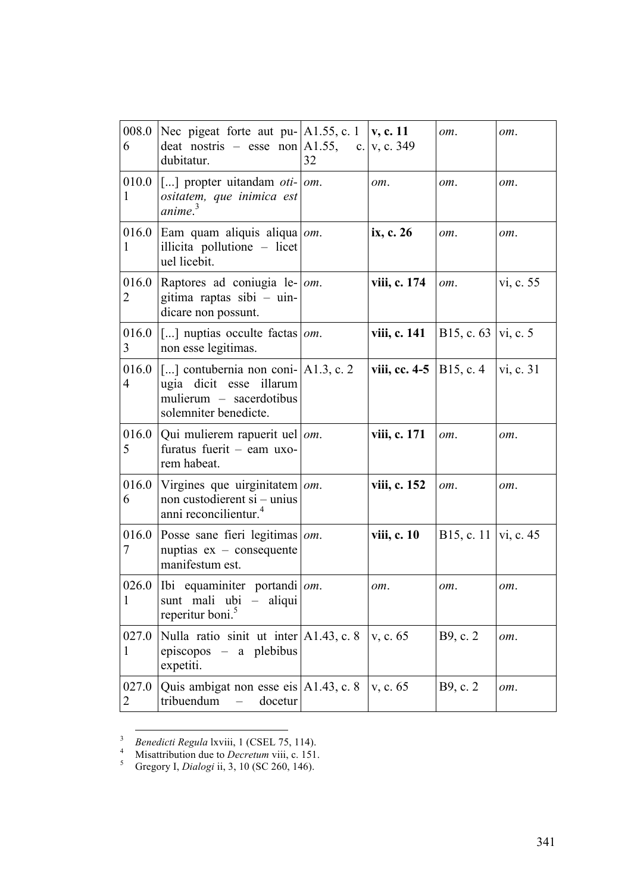| 6                     | 008.0 Nec pigeat forte aut pu- $ A1.55, c.1 $ v, c. 11<br>deat nostris – esse non A1.55, c. v, c. 349<br>dubitatur.                | 32 |                           | om.                    | om.       |
|-----------------------|------------------------------------------------------------------------------------------------------------------------------------|----|---------------------------|------------------------|-----------|
| 010.0<br>1            | $ $ [] propter uitandam <i>oti-</i> $ om$ .<br>ositatem, que inimica est<br>anime. <sup>3</sup>                                    |    | om.                       | om.                    | om.       |
| 1                     | 016.0 Eam quam aliquis aliqua $\omega$ .<br>illicita pollutione - licet<br>uel licebit.                                            |    | ix, c. 26                 | om.                    | om.       |
| 2                     | 016.0 Raptores ad coniugia le- $\vert$ om.<br>gitima raptas sibi – uin-<br>dicare non possunt.                                     |    | viii, c. 174              | om.                    | vi, c. 55 |
| 016.0<br>3            | $\vert$ [] nuptias occulte factas $\vert$ <i>om</i> .<br>non esse legitimas.                                                       |    | viii, c. 141              | B15, c. $63$  vi, c. 5 |           |
| 016.0<br>4            | $\vert$ [] contubernia non coni- $\vert$ A1.3, c. 2<br>ugia dicit esse illarum<br>mulierum - sacerdotibus<br>solemniter benedicte. |    | viii, cc. 4-5   B15, c. 4 |                        | vi, c. 31 |
| 5                     | 016.0   Qui mulierem rapuerit uel   $om$ .<br>furatus fuerit - eam uxo-<br>rem habeat.                                             |    | viii, c. 171              | om.                    | om.       |
| 6                     | 016.0 Virgines que uirginitatem $\omega$ .<br>non custodierent si – unius<br>anni reconcilientur. <sup>4</sup>                     |    | viii, c. 152              | om.                    | om.       |
| 7                     | 016.0 Posse sane fieri legitimas $\vert$ om.<br>nuptias $ex - \text{consequence}$<br>manifestum est.                               |    | viii, c. 10               | B15, c. 11   vi, c. 45 |           |
| 1                     | 026.0   Ibi equaminiter portandi   $om$ .<br>sunt mali ubi - aliqui<br>reperitur boni. <sup>5</sup>                                |    | om.                       | om.                    | om.       |
| 027.0<br>$\mathbf{1}$ | Nulla ratio sinit ut inter $ A1.43, c. 8 $<br>episcopos $-$ a plebibus<br>expetiti.                                                |    | v, c. 65                  | B9, c. 2               | om.       |
| 027.0<br>2            | Quis ambigat non esse eis $ A1.43, c.8\rangle$<br>tribuendum<br>docetur                                                            |    | v, c. 65                  | B9, c. 2               | om.       |

<sup>&</sup>lt;sup>3</sup> *Benedicti Regula* lxviii, 1 (CSEL 75, 114).<br><sup>4</sup> Misattribution due to *Decretum* viii, c. 151.<br><sup>5</sup> Gregory I, *Dialogi* ii, 3, 10 (SC 260, 146).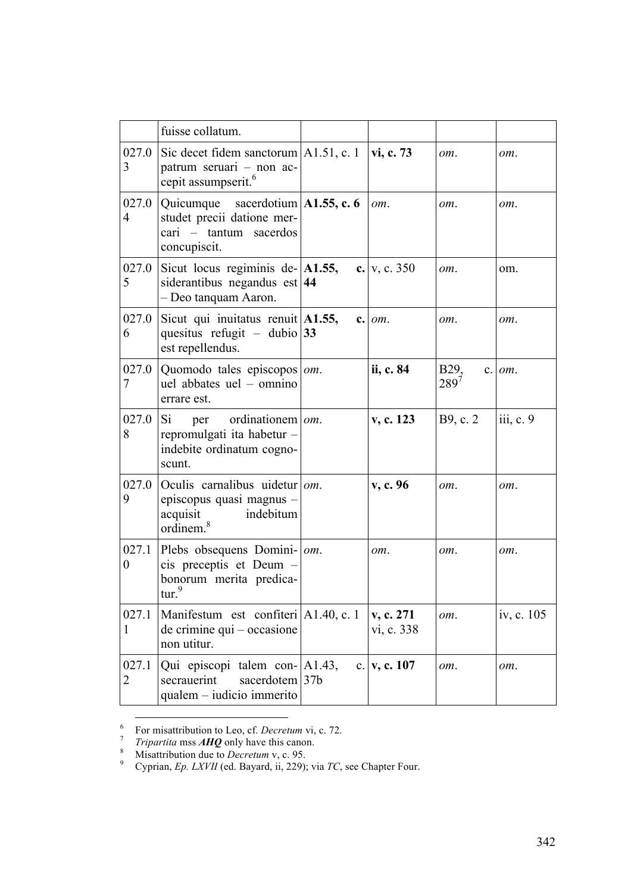|                           | fuisse collatum.                                                                                                   |                         |                              |            |
|---------------------------|--------------------------------------------------------------------------------------------------------------------|-------------------------|------------------------------|------------|
| 027.0<br>3                | Sic decet fidem sanctorum $ A1.51, c.1 $<br>patrum seruari - non ac-<br>cepit assumpserit. <sup>6</sup>            | vi, c. 73               | om.                          | om.        |
| 027.0<br>4                | Quicumque sacerdotium $ $ A1.55, c. 6<br>studet precii datione mer-<br>cari – tantum sacerdos<br>concupiscit.      | om.                     | om.                          | om.        |
| 027.0<br>5                | Sicut locus regiminis de- $ A1.55$ ,<br>siderantibus negandus est $ 44$<br>- Deo tanquam Aaron.                    | c. $v, c. 350$          | om.                          | om.        |
| 027.0<br>6                | Sicut qui inuitatus renuit $ A1.55$ ,<br>quesitus refugit – dubio 33<br>est repellendus.                           | $c.$ $om.$              | om.                          | om.        |
| 027.0<br>7                | Quomodo tales episcopos   om.<br>uel abbates uel – omnino<br>errare est.                                           | ii, c. 84               | B <sub>29</sub><br>$289^{7}$ | $c.$ $om.$ |
| 027.0<br>8                | Si<br>ordinationem   om.<br>per<br>repromulgati ita habetur -<br>indebite ordinatum cogno-<br>scunt.               | v, c. 123               | B9, c. 2                     | iii, c. 9  |
| 027.0<br>9                | Oculis carnalibus uidetur $\omega$ .<br>episcopus quasi magnus -<br>indebitum<br>acquisit<br>ordinem. <sup>8</sup> | v, c. 96                | om.                          | om.        |
| 027.1<br>$\boldsymbol{0}$ | Plebs obsequens Domini-   om.<br>cis preceptis et Deum -<br>bonorum merita predica-<br>$\mathrm{tur.}^9$           | om.                     | om.                          | om.        |
| 027.1<br>1                | Manifestum est confiteri A1.40, c. 1<br>de crimine qui – occasione<br>non utitur.                                  | v, c. 271<br>vi, c. 338 | om.                          | iv, c. 105 |
| 027.1<br>2                | Qui episcopi talem con- A1.43,<br>sacerdotem 37b<br>secrauerint<br>qualem - iudicio immerito                       | c. $ v, c. 107$         | om.                          | om.        |

<sup>&</sup>lt;sup>6</sup> For misattribution to Leo, cf. *Decretum* vi, c. 72.<br>
<sup>7</sup> *Tripartita* mss **AHQ** only have this canon.<br>
<sup>8</sup> Misattribution due to *Decretum* v, c. 95.<br>
Cyprian, *Ep. LXVII* (ed. Bayard, ii, 229); via *TC*, see Chapter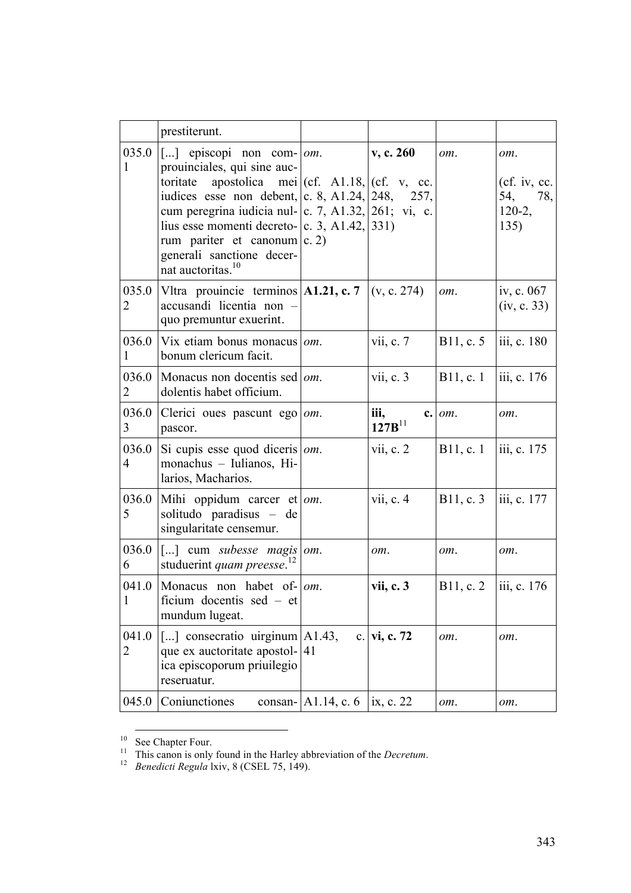|                         | prestiterunt.                                                                                                                                                                                                                                                                                                                                                                                               |                        |                     |           |                                                    |
|-------------------------|-------------------------------------------------------------------------------------------------------------------------------------------------------------------------------------------------------------------------------------------------------------------------------------------------------------------------------------------------------------------------------------------------------------|------------------------|---------------------|-----------|----------------------------------------------------|
| 035.0<br>1              | [] episcopi non com- $ om$ .<br>prouinciales, qui sine auc-<br>apostolica mei $ (cf. A1.18,  (cf. v, cc.$<br>toritate<br>iudices esse non debent, c. 8, A1.24, 248, 257,<br>cum peregrina iudicia nul- c. 7, A1.32, 261; vi, c.<br>lius esse momenti decreto- $\vert c. 3, A1.42, \vert 331 \rangle$<br>rum pariter et canonum $ c. 2\rangle$<br>generali sanctione decer-<br>nat auctoritas. <sup>10</sup> |                        | v, c. 260           | om.       | om.<br>(cf. iv, cc.<br>54, 78,<br>$120-2,$<br>135) |
| 035.0<br>2              | Vltra prouincie terminos $ A1.21, c.7 $<br>accusandi licentia non -<br>quo premuntur exuerint.                                                                                                                                                                                                                                                                                                              |                        | (v, c. 274)         | om.       | iv, c. $067$<br>(iv, c. 33)                        |
| 036.0<br>1              | Vix etiam bonus monacus $ om$ .<br>bonum clericum facit.                                                                                                                                                                                                                                                                                                                                                    |                        | vii, c. $7$         | B11, c. 5 | $\vert$ iii, c. 180                                |
| 036.0<br>$\overline{2}$ | Monacus non docentis sed   $om$ .<br>dolentis habet officium.                                                                                                                                                                                                                                                                                                                                               |                        | vii, c.3            | B11, c. 1 | iii, c. 176                                        |
| 036.0<br>$\mathfrak{Z}$ | Clerici oues pascunt ego   $om$ .<br>pascor.                                                                                                                                                                                                                                                                                                                                                                |                        | iii,<br>$127B^{11}$ | c. om.    | om.                                                |
| 036.0<br>$\overline{4}$ | Si cupis esse quod diceris $ om$ .<br>monachus - Iulianos, Hi-<br>larios, Macharios.                                                                                                                                                                                                                                                                                                                        |                        | vii, c. 2           | B11, c.1  | iii, c. 175                                        |
| 036.0<br>5              | Mihi oppidum carcer et $\omega m$ .<br>solitudo paradisus - de<br>singularitate censemur.                                                                                                                                                                                                                                                                                                                   |                        | vii, c. $4$         | B11, c. 3 | iii, c. 177                                        |
| 036.0<br>6              | $\lceil \ldots \rceil$ cum <i>subesse magis</i> om.<br>studuerint <i>quam preesse</i> . <sup>12</sup>                                                                                                                                                                                                                                                                                                       |                        | om.                 | om.       | om.                                                |
| 1                       | 041.0   Monacus non habet of- $\vert$ om.<br>ficium docentis sed – et<br>mundum lugeat.                                                                                                                                                                                                                                                                                                                     |                        | vii, c. 3           | B11, c. 2 | iii, c. 176                                        |
| 041.0<br>2              | [] consecratio uirginum $A1.43$ ,<br>que ex auctoritate apostol- 41<br>ica episcoporum priuilegio<br>reseruatur.                                                                                                                                                                                                                                                                                            |                        | c. vi, c. 72        | om.       | om.                                                |
| 045.0                   | Coniunctiones                                                                                                                                                                                                                                                                                                                                                                                               | consan- $ A1.14, c.6 $ | ix, c. 22           | om.       | om.                                                |

<sup>&</sup>lt;sup>10</sup> See Chapter Four.<br><sup>11</sup> This canon is only found in the Harley abbreviation of the *Decretum*.<br><sup>12</sup> *Benedicti Regula* lxiv, 8 (CSEL 75, 149).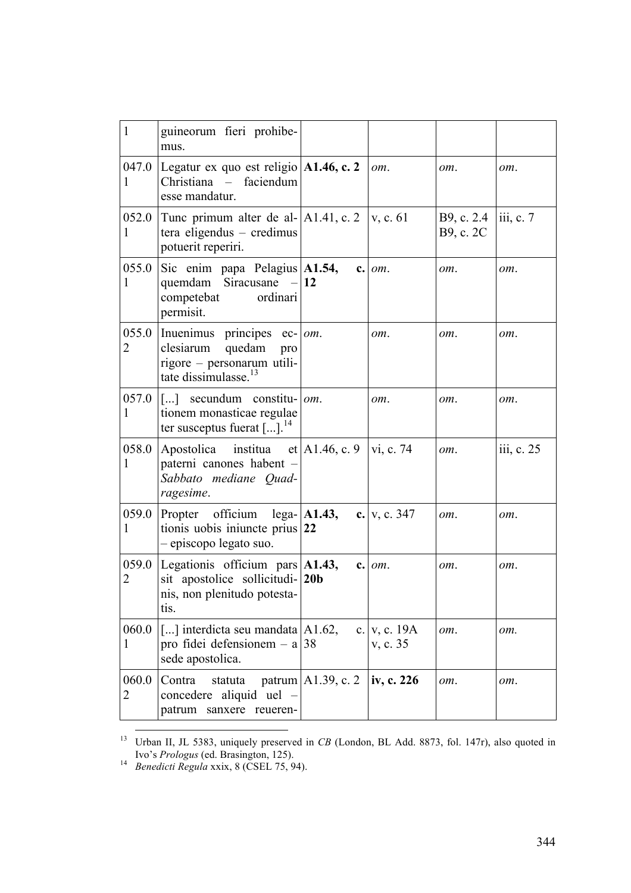| $\mathbf{1}$          | guineorum fieri prohibe-<br>mus.                                                                                                   |                            |                            |                         |                                |
|-----------------------|------------------------------------------------------------------------------------------------------------------------------------|----------------------------|----------------------------|-------------------------|--------------------------------|
| $\mathbf{I}$          | 047.0 Legatur ex quo est religio $A1.46$ , c. 2<br>Christiana -<br>faciendum<br>esse mandatur.                                     |                            | om.                        | om.                     | om.                            |
| 052.0<br>1            | Tunc primum alter de al- $ A1.41, c. 2 v, c. 61$<br>tera eligendus – credimus<br>potuerit reperiri.                                |                            |                            | B9, c. 2.4<br>B9, c. 2C | $\overline{\text{iii}}$ , c. 7 |
| 055.0<br><sup>1</sup> | Sic enim papa Pelagius A1.54,<br>quemdam Siracusane $-12$<br>competebat<br>ordinari<br>permisit.                                   |                            | $c.$ $om.$                 | om.                     | om.                            |
| 055.0<br>2            | Inuenimus principes $ec$ - $ om$ .<br>clesiarum<br>quedam<br>pro<br>rigore - personarum utili-<br>tate dissimulasse. <sup>13</sup> |                            | om.                        | om.                     | om.                            |
| 057.0<br>1            | $\vert$ [] secundum constitu- $\vert$ <i>om</i> .<br>tionem monasticae regulae<br>ter susceptus fuerat $[]$ . <sup>14</sup>        |                            | om.                        | om.                     | om.                            |
| 058.0<br>1            | Apostolica institua et   A1.46, c. 9<br>paterni canones habent<br>Sabbato mediane Quad-<br>ragesime.                               |                            | vi, c. 74                  | om.                     | iii, c. 25                     |
| 059.0<br>1            | Propter officium $lega -  A1.43,$<br>tionis uobis iniuncte prius $ 22 $<br>- episcopo legato suo.                                  |                            | c. $v, c. 347$             | om.                     | om.                            |
| 059.0<br>2            | Legationis officium pars $ A1.43,$<br>sit apostolice sollicitudi- 20b<br>nis, non plenitudo potesta-<br>tis.                       |                            | $c.$ $om.$                 | om.                     | om.                            |
| 060.0<br>1            | [] interdicta seu mandata   A1.62,<br>pro fidei defensionem – a 38<br>sede apostolica.                                             |                            | c. $v, c. 19A$<br>v, c. 35 | om.                     | om.                            |
| 060.0<br>2            | Contra<br>statuta<br>concedere aliquid uel -<br>patrum sanxere reueren-                                                            | patrum $\vert$ A1.39, c. 2 | iv, c. 226                 | om.                     | om.                            |

<sup>&</sup>lt;sup>13</sup> Urban II, JL 5383, uniquely preserved in *CB* (London, BL Add. 8873, fol. 147r), also quoted in Ivo's *Prologus* (ed. Brasington, 125). <sup>14</sup> *Benedicti Regula* xxix, 8 (CSEL 75, 94).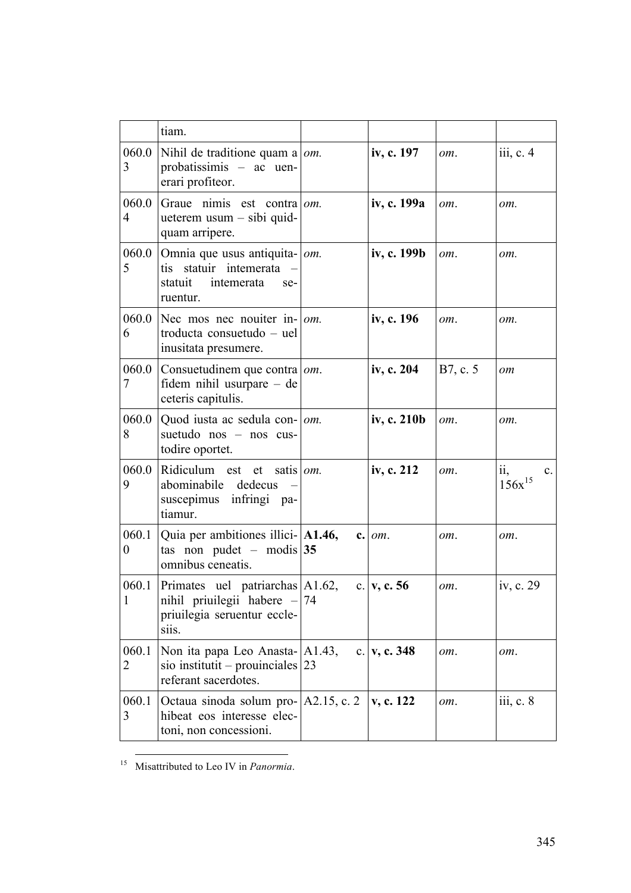|                         | tiam.                                                                                                      |    |                 |          |                                                      |
|-------------------------|------------------------------------------------------------------------------------------------------------|----|-----------------|----------|------------------------------------------------------|
| 060.0<br>3              | Nihil de traditione quam a $\omega$ .<br>probatissimis - ac uen-<br>erari profiteor.                       |    | iv, c. 197      | om.      | iii, c. 4                                            |
| 060.0<br>$\overline{4}$ | Graue nimis est contra om.<br>ueterem usum – sibi quid-<br>quam arripere.                                  |    | iv, c. 199a     | om.      | om.                                                  |
| 060.0<br>5              | Omnia que usus antiquita- om.<br>statuir intemerata<br>tis<br>statuit<br>intemerata<br>se-<br>ruentur.     |    | iv, c. 199b     | $om$ .   | om.                                                  |
| 060.0<br>6              | Nec mos nec nouiter in- $\vert$ <i>om</i> .<br>troducta consuetudo – uel<br>inusitata presumere.           |    | iv, c. 196      | om.      | om.                                                  |
| 060.0<br>7              | Consuetudinem que contra $ om$ .<br>fidem nihil usurpare – de<br>ceteris capitulis.                        |    | iv, c. 204      | B7, c. 5 | om                                                   |
| 060.0<br>8              | Quod iusta ac sedula con-   <i>om</i> .<br>suetudo nos - nos cus-<br>todire oportet.                       |    | iv, c. 210b     | om.      | om.                                                  |
| 060.0<br>9              | Ridiculum est et satis $\omega$ .<br>abominabile dedecus<br>suscepimus infringi pa-<br>tiamur.             |    | iv, c. 212      | om.      | $\ddot{\mathbf{i}}$<br>$\mathbf{c}$ .<br>$156x^{15}$ |
| $\theta$                | 060.1 Quia per ambitiones illici- $ $ A1.46,<br>tas non pudet – modis 35<br>omnibus ceneatis.              |    | $c.$ $om.$      | om.      | om.                                                  |
| $\mathbf{1}$            | 060.1 Primates uel patriarchas A1.62,<br>nihil priuilegii habere -<br>priuilegia seruentur eccle-<br>siis. | 74 | c. $ v, c. 56$  | om.      | iv, c. 29                                            |
| 060.1<br>2              | Non ita papa Leo Anasta-   A1.43,<br>sio institutit – prouinciales $ 23 $<br>referant sacerdotes.          |    | c. $ v, c. 348$ | om.      | om.                                                  |
| 060.1<br>3              | Octaua sinoda solum pro $  A2.15, c.2$<br>hibeat eos interesse elec-<br>toni, non concessioni.             |    | v, c. 122       | om.      | iii, c. 8                                            |

15 Misattributed to Leo IV in *Panormia*.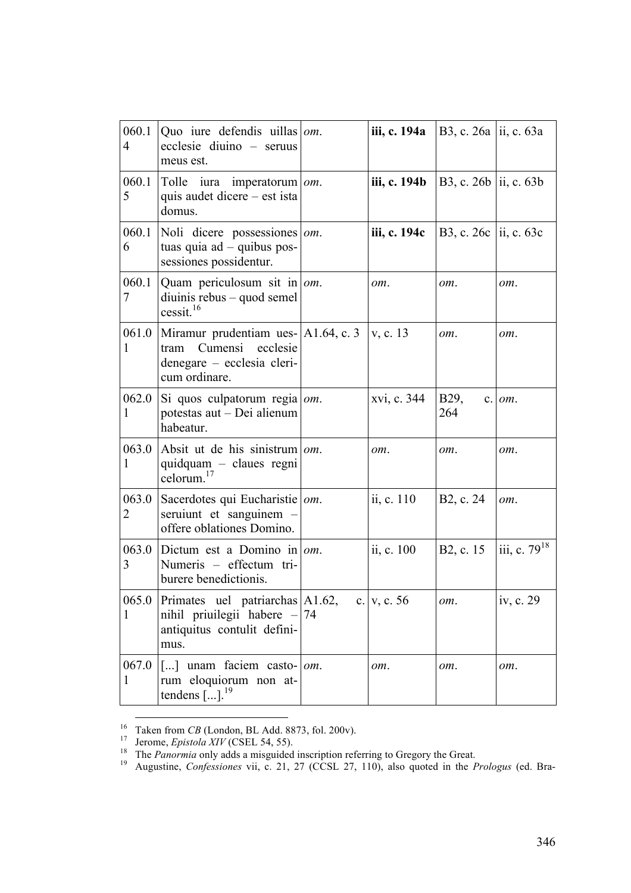| 060.1<br>$\overline{4}$ | Quo iure defendis uillas $ om$ .<br>ecclesie diuino – seruus<br>meus est.                                                          | iii, c. 194a | B3, c. 26a ii, c. 63a  |                          |
|-------------------------|------------------------------------------------------------------------------------------------------------------------------------|--------------|------------------------|--------------------------|
| 060.1<br>5              | Tolle iura<br>imperatorum   om.<br>quis audet dicere – est ista<br>domus.                                                          | iii, c. 194b | B3, c. 26b ii, c. 63b  |                          |
| 060.1<br>6              | Noli dicere possessiones   om.<br>tuas quia $ad - q$ uibus pos-<br>sessiones possidentur.                                          | iii, c. 194c | B3, c. 26c  ii, c. 63c |                          |
| 060.1<br>7              | Quam periculosum sit in $\vert$ om.<br>$diuinis$ rebus – quod semel<br>cessit. <sup>16</sup>                                       | om.          | om.                    | om.                      |
| 061.0<br>1              | Miramur prudentiam ues-   A1.64, c. 3<br>Cumensi<br>ecclesie<br>tram<br>denegare – ecclesia cleri-<br>cum ordinare.                | v. c. 13     | om.                    | om.                      |
| 062.0<br>1              | Si quos culpatorum regia $\omega$ .<br>potestas aut - Dei alienum<br>habeatur.                                                     | xvi, c. 344  | B <sub>29</sub><br>264 | $c.$ $om.$               |
| 063.0<br>1              | Absit ut de his sinistrum $\omega$ .<br>quidquam - claues regni<br>celorum. $17$                                                   | om.          | om.                    | om.                      |
| 063.0<br>2              | Sacerdotes qui Eucharistie   om.<br>seruiunt et sanguinem<br>offere oblationes Domino.                                             | ii, c. 110   | B <sub>2</sub> , c. 24 | om.                      |
| 063.0<br>3              | Dictum est a Domino in om.<br>Numeris - effectum tri-<br>burere benedictionis.                                                     | ii, c. 100   | B <sub>2</sub> , c. 15 | iii, c. 79 <sup>18</sup> |
| 065.0<br>1              | Primates uel patriarchas A1.62,<br>nihil priuilegii habere $-$ 74<br>antiquitus contulit defini-<br>mus.                           | c. v, c. 56  | om.                    | iv, c. 29                |
| 067.0<br>1              | $\lceil \dots \rceil$ unam faciem casto- $\lceil$ <i>om</i> .<br>rum eloquiorum non at-<br>tendens $\left[\right]$ . <sup>19</sup> | om.          | om.                    | om.                      |

<sup>&</sup>lt;sup>16</sup><br>
<sup>16</sup> Taken from *CB* (London, BL Add. 8873, fol. 200v).<br>
<sup>17</sup> Jerome, *Epistola XIV* (CSEL 54, 55).<br>
<sup>18</sup> The *Panormia* only adds a misguided inscription referring to Gregory the Great.<br>
<sup>19</sup> Augustine, *Confession*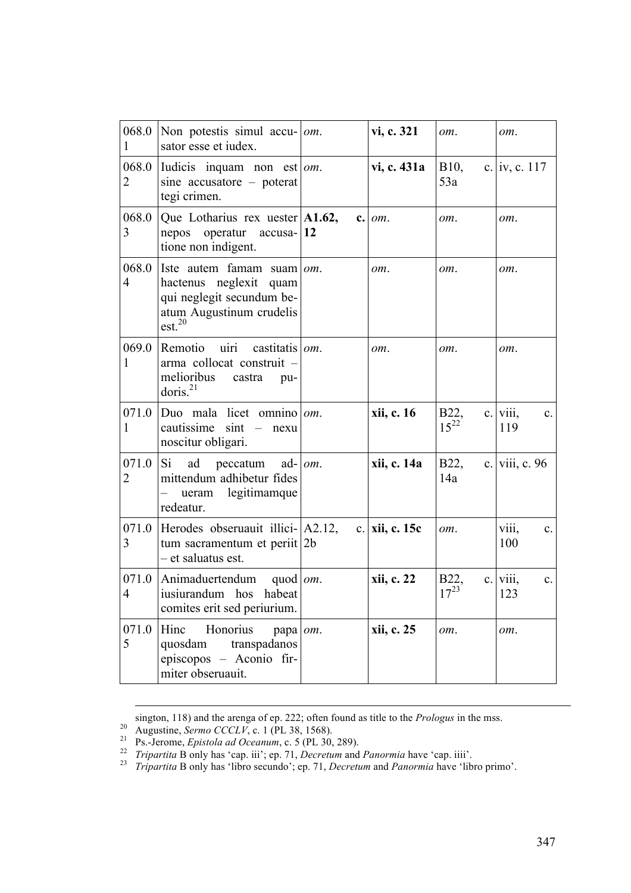| 068.0<br>1              | Non potestis simul accu-<br>sator esse et iudex.                                                                                            | om. | vi, c. 321       | om.               | om.                                 |
|-------------------------|---------------------------------------------------------------------------------------------------------------------------------------------|-----|------------------|-------------------|-------------------------------------|
| 068.0<br>2              | Iudicis inquam non est $\vert$ om.<br>sine $accusatore - poterat$<br>tegi crimen.                                                           |     | vi, c. 431a      | $B10$ ,<br>53a    | c.  iv, c. 117                      |
| 068.0<br>3              | Que Lotharius rex uester $ A1.62,$<br>operatur $accusa-12$<br>nepos<br>tione non indigent.                                                  |     | $c.$ $om.$       | om.               | om.                                 |
| 068.0<br>$\overline{4}$ | Iste autem famam suam $\omega m$ .<br>hactenus neglexit quam<br>qui neglegit secundum be-<br>atum Augustinum crudelis<br>est. <sup>20</sup> |     | om.              | om.               | om.                                 |
| 069.0<br>1              | uiri<br>Remotio<br>castitatis om.<br>arma collocat construit -<br>melioribus<br>castra<br>pu-<br>doris. $^{21}$                             |     | om.              | om.               | om.                                 |
| 1                       | 071.0 Duo mala licet omnino   $om$ .<br>cautissime $\sin t$ – nexu<br>noscitur obligari.                                                    |     | xii, c. 16       | B22,<br>$15^{22}$ | $c.$ viii,<br>$\mathbf{c}$ .<br>119 |
| 071.0<br>$\overline{2}$ | Si.<br>ad<br>peccatum<br>ad-1<br>mittendum adhibetur fides<br>ueram legitimamque<br>redeatur.                                               | om. | xii, c. 14a      | B22,<br>14a       | c. viii, c. 96                      |
| 071.0<br>3              | Herodes obseruauit illici- A2.12,<br>tum sacramentum et periit 2b<br>- et saluatus est.                                                     |     | c.   xii, c. 15c | om.               | viii,<br>$\mathbf{c}$ .<br>100      |
| 071.0<br>4              | Animaduertendum<br>quod <i>om</i> .<br>iusiurandum hos habeat<br>comites erit sed periurium.                                                |     | xii, c. 22       | B22.<br>$17^{23}$ | c. V111,<br>$c_{\cdot}$<br>123      |
| 071.0<br>5              | Hinc<br>Honorius<br>papa <i>om</i> .<br>quosdam<br>transpadanos<br>episcopos – Aconio fir-<br>miter obseruauit.                             |     | xii, c. 25       | om.               | om.                                 |

1

sington, 118) and the arenga of ep. 222; often found as title to the *Prologus* in the mss.<br><sup>20</sup> Augustine, *Sermo CCCLV*, c. 1 (PL 38, 1568).<br><sup>21</sup> Ps.-Jerome, *Epistola ad Oceanum*, c. 5 (PL 30, 289).<br><sup>22</sup> *Tripartita* B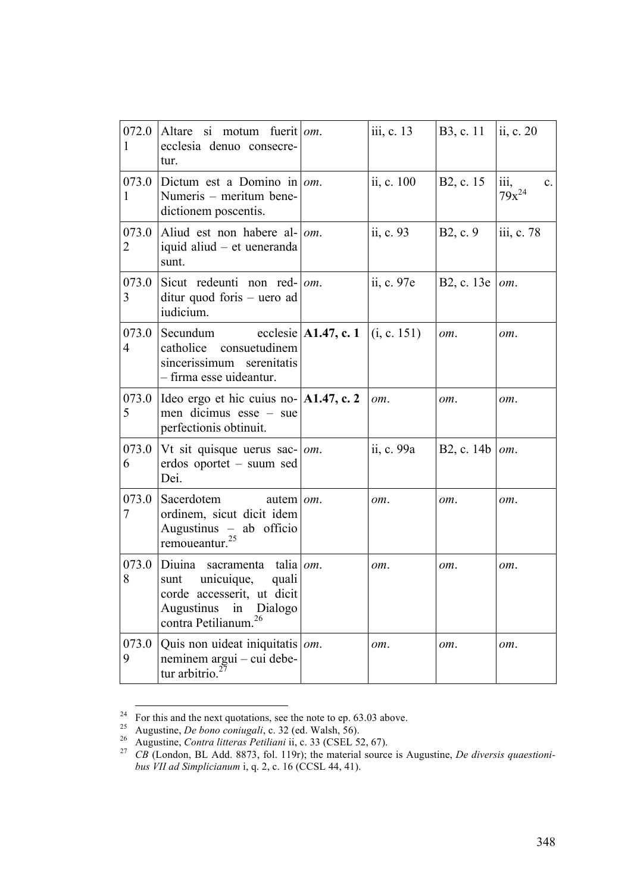| 072.0<br>1              | Altare si motum fuerit   $om$ .<br>ecclesia denuo consecre-<br>tur.                                                                                               | iii, c. 13 | B3, c. 11              | ii, c. 20                                           |
|-------------------------|-------------------------------------------------------------------------------------------------------------------------------------------------------------------|------------|------------------------|-----------------------------------------------------|
| 073.0<br>1              | Dictum est a Domino in $\omega$ .<br>Numeris - meritum bene-<br>dictionem poscentis.                                                                              | ii, c. 100 | B2, c. 15              | $\dddot{\mathbf{m}}$ ,<br>$c_{\cdot}$<br>$79x^{24}$ |
| 073.0<br>2              | Aliud est non habere al- $\vert$ <i>om</i> .<br>iquid aliud – et ueneranda<br>sunt.                                                                               | ii, c. 93  | B <sub>2</sub> , c. 9  | iii, c. 78                                          |
| 073.0<br>3              | Sicut redeunti non red- om.<br>$ditur$ quod foris – uero ad<br>iudicium.                                                                                          | ii, c. 97e | B2, c. 13e             | om.                                                 |
| 073.0<br>$\overline{4}$ | Secundum ecclesie $ $ A1.47, c. 1 $ $ (i, c. 151)<br>catholice consuetudinem<br>sincerissimum serenitatis<br>- firma esse uideantur.                              |            | om.                    | om.                                                 |
| 073.0<br>5              | Ideo ergo et hic cuius no- $ A1.47, c.2\rangle$<br>men dicimus esse – sue<br>perfectionis obtinuit.                                                               | om.        | om.                    | om.                                                 |
| 073.0<br>6              | Vt sit quisque uerus sac- $\vert$ <i>om</i> .<br>erdos oportet - suum sed<br>Dei.                                                                                 | ii, c. 99a | B2, c. 14b $\vert$ om. |                                                     |
| 073.0<br>7              | Sacerdotem<br>autem   om.<br>ordinem, sicut dicit idem<br>Augustinus - ab officio<br>remoueantur. <sup>25</sup>                                                   | om.        | om.                    | om.                                                 |
| 073.0<br>8              | Diuina sacramenta talia $\omega m$ .<br>sunt unicuique,<br>quali<br>corde accesserit, ut dicit<br>Augustinus<br>in<br>Dialogo<br>contra Petilianum. <sup>26</sup> | om.        | om.                    | om.                                                 |
| 073.0<br>9              | Quis non uideat iniquitatis $\vert$ om.<br>neminem argui – cui debe-<br>tur arbitrio. $2^2$                                                                       | om.        | om.                    | om.                                                 |

For this and the next quotations, see the note to ep. 63.03 above.<br>
<sup>25</sup> Augustine, *De bono coniugali*, c. 32 (ed. Walsh, 56).<br>
<sup>26</sup> Augustine, *Contra litteras Petiliani* ii, c. 33 (CSEL 52, 67).<br> *CB* (London, BL Add. *bus VII ad Simplicianum* i, q. 2, c. 16 (CCSL 44, 41).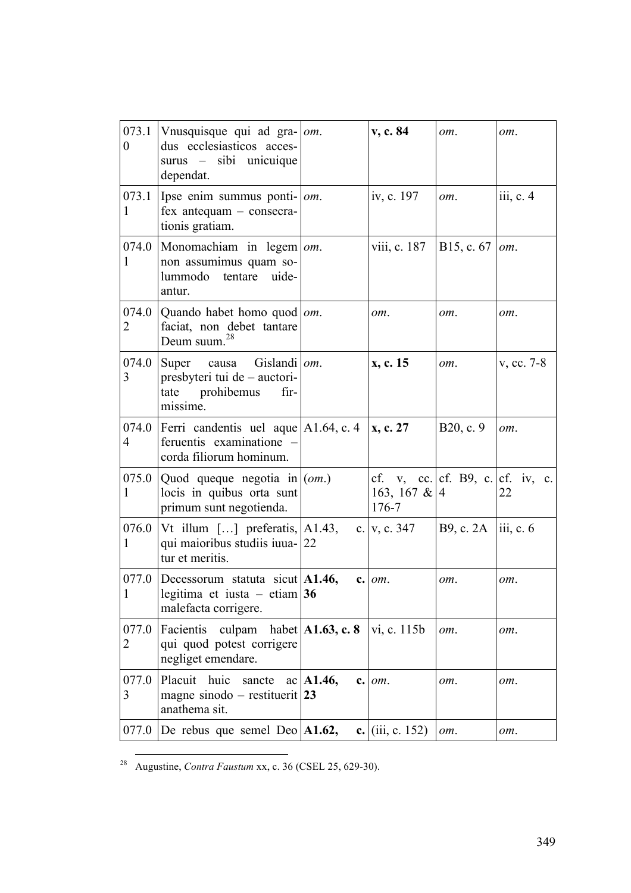| 073.1<br>$\boldsymbol{0}$ | Vnusquisque qui ad gra- $ om$ .<br>dus ecclesiasticos acces-<br>surus - sibi unicuique<br>dependat. |           | v, c. 84                                                         | om.                    | om.        |
|---------------------------|-----------------------------------------------------------------------------------------------------|-----------|------------------------------------------------------------------|------------------------|------------|
| 073.1<br>1                | Ipse enim summus ponti- $ om$ .<br>fex antequam - consecra-<br>tionis gratiam.                      |           | iv, c. 197                                                       | om.                    | iii, c. 4  |
| 074.0<br>1                | Monomachiam in $legem   om$ .<br>non assumimus quam so-<br>lummodo tentare<br>uide-<br>antur.       |           | viii, c. 187                                                     | B15, c. 67             | om.        |
| 2                         | 074.0   Quando habet homo quod   $om$ .<br>faciat, non debet tantare<br>Deum suum. <sup>28</sup>    |           | om.                                                              | om.                    | om.        |
| 074.0<br>3                | Super causa Gislandi   om.<br>presbyteri tui de - auctori-<br>tate prohibemus<br>fir-<br>missime.   |           | x, c. 15                                                         | $\omega$ .             | v, cc. 7-8 |
| 074.0<br>4                | Ferri candentis uel aque   A1.64, c. 4<br>feruentis examinatione -<br>corda filiorum hominum.       |           | $\vert$ x, c. 27                                                 | B20, c. 9              | om.        |
| 075.0<br>1                | Quod queque negotia in $(om.)$<br>locis in quibus orta sunt<br>primum sunt negotienda.              |           | cf. v, cc. $cf.$ B9, c. $cf.$ iv, c.<br>163, 167 & $ 4$<br>176-7 |                        | 22         |
| 076.0<br>1                | Vt illum $[]$ preferatis, $ A1.43, \n$<br>qui maioribus studiis iuua- 22<br>tur et meritis.         |           | c. $v, c. 347$                                                   | B9, c. $2A$  iii, c. 6 |            |
| 1                         | 077.0 Decessorum statuta sicut $ A1.46,$<br>legitima et iusta – etiam 36<br>malefacta corrigere.    |           | $c.$ $om.$                                                       | $om_{\alpha}$          | om.        |
| 077.0<br>2                | culpam habet $ A1.63, c. 8$<br>Facientis<br>qui quod potest corrigere<br>negliget emendare.         |           | vi, c. 115b                                                      | om.                    | om.        |
| 077.0<br>3                | Placuit huic<br>sancte<br>magne sinodo – restituerit 23<br>anathema sit.                            | ac A1.46, | $c.$ $om.$                                                       | om.                    | om.        |
| 077.0                     | De rebus que semel Deo $ A1.62,$                                                                    |           | c. $(iii, c. 152)$                                               | om.                    | om.        |

28 Augustine, *Contra Faustum* xx, c. 36 (CSEL 25, 629-30).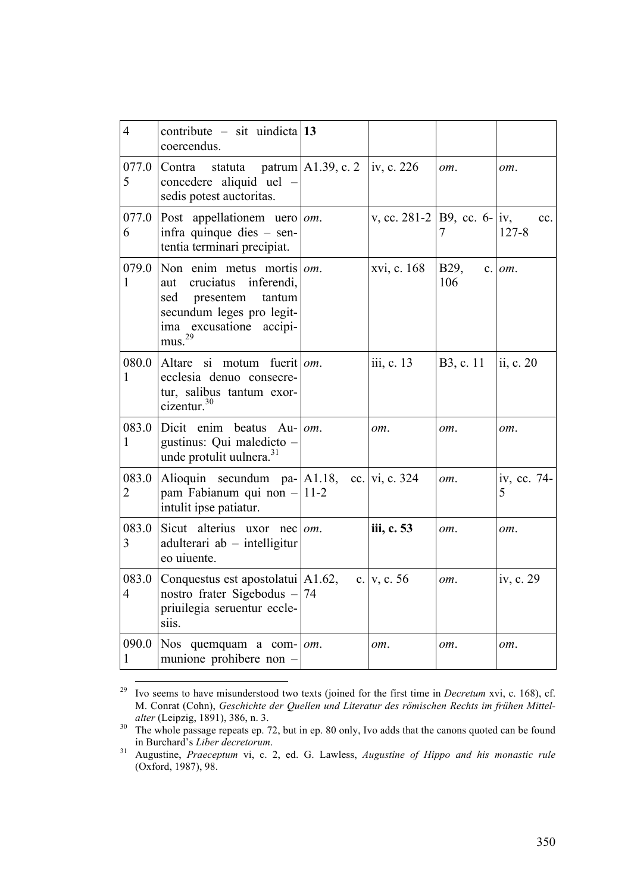| $\overline{4}$          | contribute – sit uindicta 13<br>coercendus.                                                                                                                                    |                                   |                                 |                        |                  |
|-------------------------|--------------------------------------------------------------------------------------------------------------------------------------------------------------------------------|-----------------------------------|---------------------------------|------------------------|------------------|
| 077.0<br>5              | Contra<br>statuta<br>concedere aliquid uel -<br>sedis potest auctoritas.                                                                                                       | patrum   A1.39, c. 2   iv, c. 226 |                                 | om.                    | om.              |
| 077.0<br>6              | Post appellationem uero $ om$ .<br>infra quinque dies $-$ sen-<br>tentia terminari precipiat.                                                                                  |                                   | v, cc. 281-2   B9, cc. 6-   iv, | 7                      | cc.<br>$127 - 8$ |
| 079.0<br>1              | Non enim metus mortis $ om$ .<br>inferendi,<br>cruciatus<br>aut<br>presentem<br>tantum<br>sed<br>secundum leges pro legit-<br>ima excusatione<br>accipi-<br>mus. <sup>29</sup> |                                   | xvi, c. 168                     | B <sub>29</sub><br>106 | $c.$ $om.$       |
| 080.0<br>1              | Altare si motum fuerit om.<br>ecclesia denuo consecre-<br>tur, salibus tantum exor-<br>cizentur. <sup>30</sup>                                                                 |                                   | iii, c. 13                      | B3, c. 11              | ii, c. 20        |
| 083.0<br>1              | Dicit enim beatus $Au$ - $\omega$ .<br>gustinus: Qui maledicto -<br>unde protulit uulnera. <sup>31</sup>                                                                       |                                   | om.                             | om.                    | om.              |
| 083.0<br>$\overline{2}$ | Alioquin secundum pa- $ A1.18\rangle$<br>pam Fabianum qui non - 11-2<br>intulit ipse patiatur.                                                                                 |                                   | cc. $vi$ , c. 324               | om.                    | iv, cc. 74-<br>5 |
| 083.0<br>$\overline{3}$ | Sicut alterius uxor nec<br>$adulterari$ ab $-$ intelligitur<br>eo uiuente.                                                                                                     | om.                               | iii, c. 53                      | om.                    | om.              |
| 083.0<br>$\overline{4}$ | Conquestus est apostolatui   A1.62,<br>nostro frater Sigebodus $-$ 74<br>priuilegia seruentur eccle-<br>siis.                                                                  |                                   | c. $v, c. 56$                   | om.                    | iv, c. 29        |
| 090.0<br>1              | Nos quemquam a com- $\vert$ <i>om</i> .<br>munione prohibere non -                                                                                                             |                                   | om.                             | om.                    | om.              |

 <sup>29</sup> Ivo seems to have misunderstood two texts (joined for the first time in *Decretum* xvi, c. 168), cf. M. Conrat (Cohn), *Geschichte der Quellen und Literatur des römischen Rechts im frühen Mittel-*

<sup>&</sup>lt;sup>30</sup> The whole passage repeats ep. 72, but in ep. 80 only, Ivo adds that the canons quoted can be found <sup>30</sup>

in Burchard's *Liber decretorum*. <sup>31</sup> Augustine, *Praeceptum* vi, c. 2, ed. G. Lawless, *Augustine of Hippo and his monastic rule* (Oxford, 1987), 98.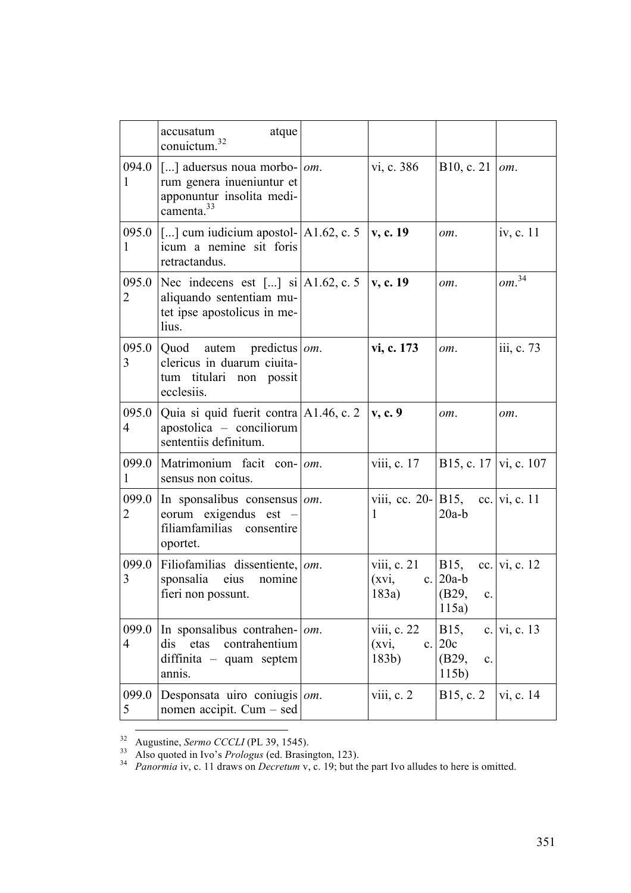|                         | atque<br>accusatum<br>conuictum. <sup>32</sup>                                                                                                      |     |                                                                 |                                                 |                    |
|-------------------------|-----------------------------------------------------------------------------------------------------------------------------------------------------|-----|-----------------------------------------------------------------|-------------------------------------------------|--------------------|
| 094.0<br>1              | $\vert$ [] aduersus noua morbo- $\vert$ <i>om</i> .<br>rum genera inueniuntur et<br>apponuntur insolita medi-<br>camenta. <sup>33</sup>             |     | vi, c. 386                                                      | B10, c. 21                                      | om.                |
| 1                       | 095.0 $\left[ \ldots \right]$ cum iudicium apostol- $\left[ \text{A1.62}, \text{c. 5} \right]$ v, c. 19<br>icum a nemine sit foris<br>retractandus. |     |                                                                 | om.                                             | iv, c. 11          |
| 095.0<br>2              | Nec indecens est [] $\sin[A1.62, c. 5 \mid v, c. 19]$<br>aliquando sententiam mu-<br>tet ipse apostolicus in me-<br>lius.                           |     |                                                                 | om.                                             | $\emph{om}^{\,34}$ |
| 095.0<br>3              | $\vert$ Quod autem predictus $\vert$ <i>om</i> .<br>clericus in duarum ciuita-<br>tum titulari non possit<br>ecclesiis.                             |     | vi, c. 173                                                      | om.                                             | iii, c. 73         |
| 095.0<br>$\overline{4}$ | Quia si quid fuerit contra A1.46, c. 2<br>apostolica – conciliorum<br>sententiis definitum.                                                         |     | v, c.9                                                          | om.                                             | om.                |
| 099.0<br>1              | Matrimonium facit con-   <i>om</i> .<br>sensus non coitus.                                                                                          |     | viii, c. $17$                                                   | $ B15, c. 17 $ vi, c. 107                       |                    |
| 099.0<br>2              | In sponsalibus consensus $\omega$ .<br>eorum exigendus est –<br>filiamfamilias consentire<br>oportet.                                               |     | viii, cc. 20- $ B15$ , cc.  vi, c. 11<br>1                      | $20a-b$                                         |                    |
| 099.0<br>3              | Filiofamilias dissentiente, $\omega$ .<br>sponsalia eius nomine<br>fieri non possunt.                                                               |     | viii, c. 21   B15, cc.   vi, c. 12<br>$(xvi,$ c. 20a-b<br>183a) | $ $ (B29,<br>$\mathbf{c}$ .<br>115a)            |                    |
| 099.0<br>$\overline{4}$ | In sponsalibus contrahen-<br>dis<br>etas<br>contrahentium<br>diffinita - quam septem<br>annis.                                                      | om. | viii, $c. 22$<br>(xvi,<br>$c_{\cdot}$<br>183b)                  | B15,<br>20c<br>(B29,<br>$\mathbf{c}$ .<br>115b) | c.   vi, c. 13     |
| 099.0<br>5              | Desponsata uiro coniugis $\vert$ <i>om</i> .<br>nomen accipit. $Cum - sed$                                                                          |     | viii, c. $2$                                                    | B15, c. 2                                       | vi, c. 14          |

<sup>&</sup>lt;sup>32</sup> Augustine, *Sermo CCCLI* (PL 39, 1545).<br><sup>33</sup> Also quoted in Ivo's *Prologus* (ed. Brasington, 123).<br><sup>34</sup> *Panormia* iv, c. 11 draws on *Decretum* v, c. 19; but the part Ivo alludes to here is omitted.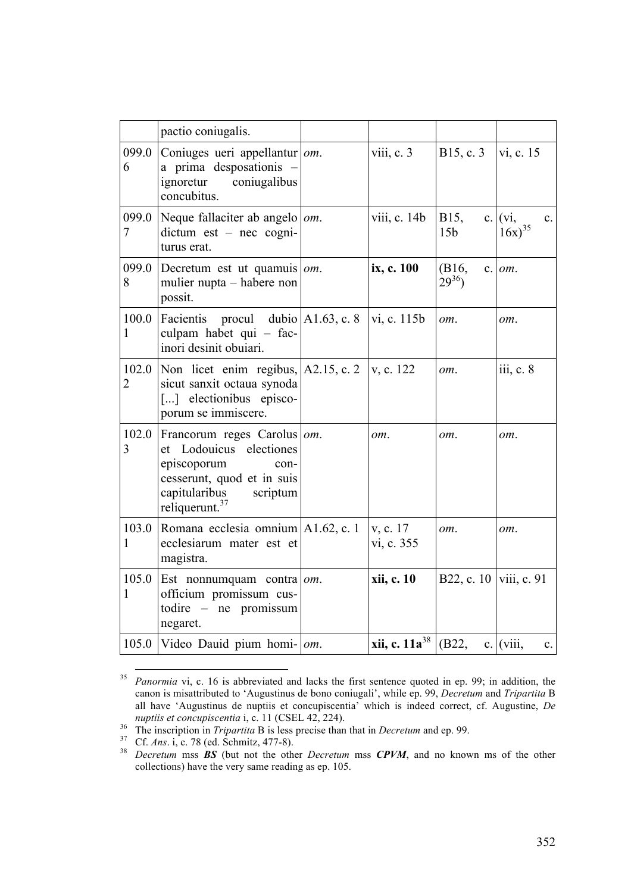|                         | pactio coniugalis.                                                                                                                                                     |                           |                          |                                              |
|-------------------------|------------------------------------------------------------------------------------------------------------------------------------------------------------------------|---------------------------|--------------------------|----------------------------------------------|
| 099.0<br>6              | Coniuges ueri appellantur om.<br>a prima desposationis -<br>coniugalibus<br>ignoretur<br>concubitus.                                                                   | viii, $c.3$               | B15, c. 3                | vi, c. 15                                    |
| 099.0<br>7              | Neque fallaciter ab angelo   om.<br>$dictum$ est – nec cogni-<br>turus erat.                                                                                           | viii, c. 14b              | B15,<br>15 <sub>b</sub>  | c. $(vi)$ ,<br>$\mathbf{c}$ .<br>$16x)^{35}$ |
| 099.0<br>8              | Decretum est ut quamuis $ om$ .<br>mulier nupta – habere non<br>possit.                                                                                                | ix, c. 100                | (B16,<br>$29^{36}$       | $c.$ $om.$                                   |
| 100.0<br>1              | procul dubio $A1.63$ , c. 8<br>Facientis<br>culpam habet qui - fac-<br>inori desinit obuiari.                                                                          | vi, c. 115b               | om.                      | om.                                          |
| 102.0<br>$\overline{2}$ | Non licet enim regibus, $ A2.15, c.2 $<br>sicut sanxit octaua synoda<br>[] electionibus episco-<br>porum se immiscere.                                                 | v, c. 122                 | om.                      | iii, c. 8                                    |
| 102.0<br>3              | Francorum reges Carolus om.<br>et Lodouicus electiones<br>episcoporum<br>con-<br>cesserunt, quod et in suis<br>capitularibus<br>scriptum<br>reliquerunt. <sup>37</sup> | om.                       | om.                      | om.                                          |
| 103.0<br>1              | Romana ecclesia omnium $ A1.62, c.1$<br>ecclesiarum mater est et<br>magistra.                                                                                          | v, c. 17<br>vi, c. 355    | om.                      | om.                                          |
| 105.0<br>1              | Est nonnumquam contra $\omega$ m.<br>officium promissum cus-<br>todire - ne promissum<br>negaret.                                                                      | xii, c. 10                | B22, c. 10   viii, c. 91 |                                              |
| 105.0                   | Video Dauid pium homi- $\vert$ om.                                                                                                                                     | <b>xii, c.</b> $11a^{38}$ | (B22,                    | c. (viii,<br>$c_{\cdot}$                     |

<sup>&</sup>lt;sup>35</sup> *Panormia* vi, c. 16 is abbreviated and lacks the first sentence quoted in ep. 99; in addition, the canon is misattributed to 'Augustinus de bono coniugali', while ep. 99, *Decretum* and *Tripartita* B all have 'Augustinus de nuptiis et concupiscentia' which is indeed correct, cf. Augustine, *De* 

*nuptiis et concupiscentia* i, c. 11 (CSEL 42, 224).<br><sup>36</sup> The inscription in *Tripartita* B is less precise than that in *Decretum* and ep. 99.<br><sup>37</sup> Cf. *Ans.* i, c. 78 (ed. Schmitz, 477-8).<br><sup>38</sup> *Decretum* mss **BS** (but collections) have the very same reading as ep. 105.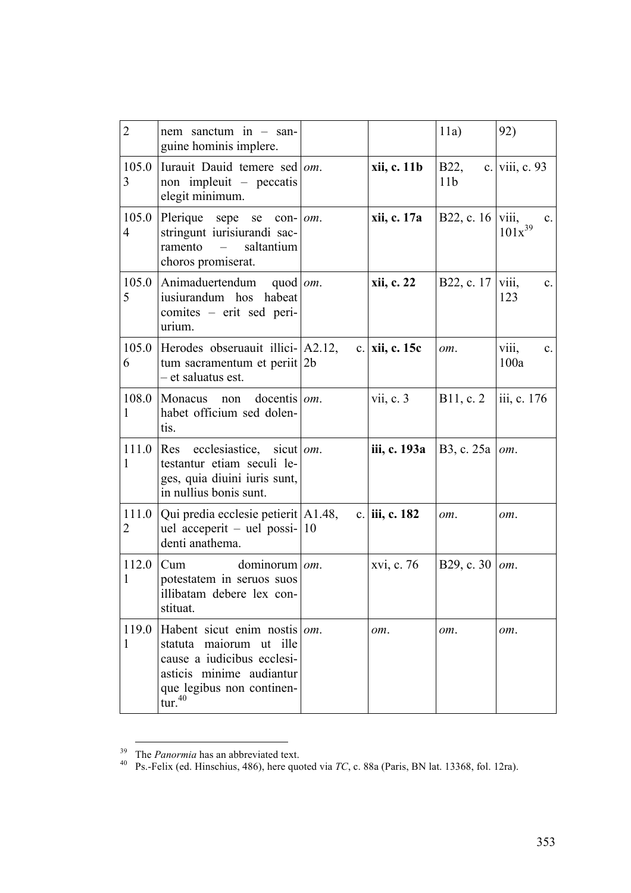| $\overline{2}$ | nem sanctum in $-$ san-<br>guine hominis implere.                                                                                                                            |                  | 11a)                            | 92)                                    |
|----------------|------------------------------------------------------------------------------------------------------------------------------------------------------------------------------|------------------|---------------------------------|----------------------------------------|
| 105.0<br>3     | Iurauit Dauid temere sed om.<br>non impleuit – peccatis<br>elegit minimum.                                                                                                   | xii, c. 11b      | <b>B22</b> ,<br>11 <sub>b</sub> | c. viii, c. 93                         |
| 105.0<br>4     | Plerique sepe<br>se<br>$con- $ om.<br>stringunt iurisiurandi sac-<br>saltantium<br>ramento<br>$\equiv$<br>choros promiserat.                                                 | xii, c. 17a      | B22, c. 16                      | viii,<br>$\mathbf{c}$ .<br>$101x^{39}$ |
| 105.0<br>5     | Animaduertendum<br>quod $\omega$ .<br>iusiurandum hos habeat<br>comites - erit sed peri-<br>urium.                                                                           | xii, c. 22       | B22, c. 17                      | V111,<br>$c_{\cdot}$<br>123            |
| 105.0<br>6     | Herodes obseruauit illici- A2.12,<br>tum sacramentum et periit 2b<br>- et saluatus est.                                                                                      | c.   xii, c. 15c | om.                             | viii,<br>$c_{\cdot}$<br>100a           |
| 108.0<br>1     | Monacus non docentis $\omega m$ .<br>habet officium sed dolen-<br>tis.                                                                                                       | vii, c. 3        | B11, c. 2                       | iii, c. 176                            |
| 1              | 111.0 Res ecclesiastice, sicut $\vert$ om.<br>testantur etiam seculi le-<br>ges, quia diuini iuris sunt,<br>in nullius bonis sunt.                                           | iii, c. 193a     | B3, c. 25a                      | om.                                    |
| 111.0<br>2     | Qui predia ecclesie petierit A1.48,<br>uel acceperit – uel possi- $ 10\rangle$<br>denti anathema.                                                                            | c. iii, c. 182   | om.                             | om.                                    |
| 112.0<br>1     | dominorum   om.<br>Cum<br>potestatem in seruos suos<br>illibatam debere lex con-<br>stituat.                                                                                 | xvi, c. 76       | B29, c. 30                      | om.                                    |
| 119.0<br>1     | Habent sicut enim nostis <i>om</i> .<br>statuta maiorum ut ille<br>cause a iudicibus ecclesi-<br>asticis minime audiantur<br>que legibus non continen-<br>tur. <sup>40</sup> | om.              | om.                             | om.                                    |

<sup>&</sup>lt;sup>39</sup> The *Panormia* has an abbreviated text.<br><sup>40</sup> Ps.-Felix (ed. Hinschius, 486), here quoted via *TC*, c. 88a (Paris, BN lat. 13368, fol. 12ra).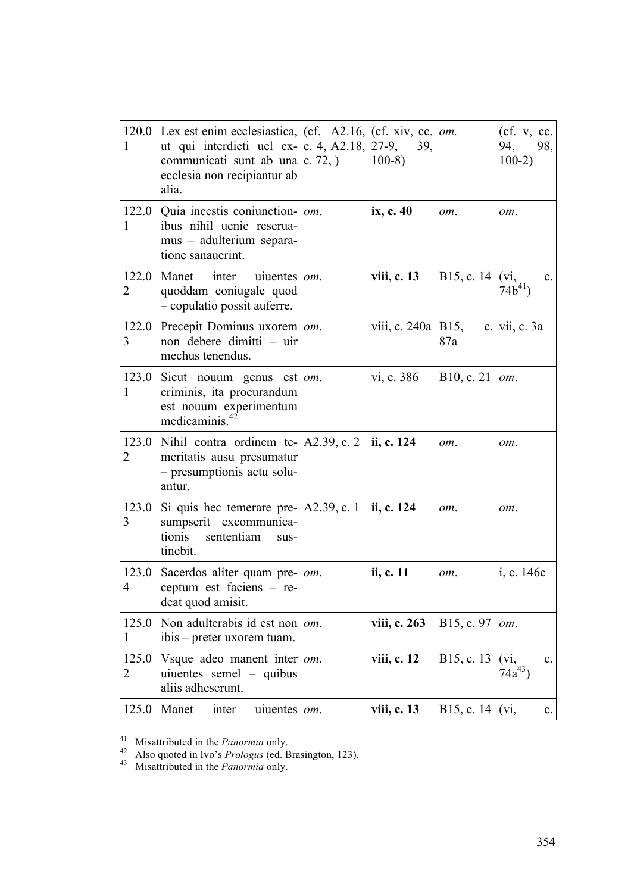| $\mathbf{1}$            | 120.0 Lex est enim ecclesiastica, $ $ (cf. A2.16, $ $ (cf. xiv, cc. $ $ <i>om.</i> )<br>ut qui interdicti uel ex- $ c. 4, A2.18,  27-9,$<br>communicati sunt ab una $ c. 72$ , $ c. 72$<br>ecclesia non recipiantur ab<br>alia. |     | 39,<br>$100-8$       |                        | (cf. v, cc.<br>94, 98,<br>$100-2)$      |
|-------------------------|---------------------------------------------------------------------------------------------------------------------------------------------------------------------------------------------------------------------------------|-----|----------------------|------------------------|-----------------------------------------|
| 1                       | 122.0   Quia incestis coniunction- $\vert$ om.<br>ibus nihil uenie reserua-<br>mus - adulterium separa-<br>tione sanauerint.                                                                                                    |     | ix, c. 40            | om.                    | om.                                     |
| 122.0<br>$\overline{2}$ | Manet<br>inter<br>uiuentes <i>om</i> .<br>quoddam coniugale quod<br>- copulatio possit auferre.                                                                                                                                 |     | viii, c. 13          | B15, c. 14 $ $ (vi,    | $\mathbf{c}$ .<br>$74b^{41}$            |
| 122.0<br>3              | Precepit Dominus uxorem   om.<br>non debere dimitti – uir<br>mechus tenendus.                                                                                                                                                   |     | viii, c. 240a   B15, | 87a                    | c. vii, c. $3a$                         |
| 123.0<br>1              | Sicut nouum genus est $om$ .<br>criminis, ita procurandum<br>est nouum experimentum<br>medicaminis.                                                                                                                             |     | vi, c. 386           | B10, c. 21 $\vert$ om. |                                         |
| 123.0<br>$\overline{2}$ | Nihil contra ordinem te- $ A2.39, c.2 $<br>meritatis ausu presumatur<br>- presumptionis actu solu-<br>antur.                                                                                                                    |     | ii, c. 124           | om.                    | om.                                     |
| 123.0<br>3              | Si quis hec temerare pre- $ A2.39, c.1$<br>sumpserit excommunica-<br>tionis<br>sententiam<br>sus-<br>tinebit.                                                                                                                   |     | ii, c. 124           | om.                    | om.                                     |
| $\overline{4}$          | 123.0 Sacerdos aliter quam pre- $\vert$ <i>om</i> .<br>ceptum est faciens - re-<br>deat quod amisit.                                                                                                                            |     | ii, c. 11            | om.                    | i, c. 146c                              |
| 125.0<br>1              | Non adulterabis id est non $ om$ .<br>ibis – preter uxorem tuam.                                                                                                                                                                |     | viii, c. 263         | B15, c. 97             | om.                                     |
| 125.0<br>2              | Vsque adeo manent inter<br>uiuentes semel – quibus<br>aliis adheserunt.                                                                                                                                                         | om. | viii, c. 12          | B15, c. 13             | $(v_i,$<br>$\mathbf{c}$ .<br>$74a^{43}$ |
| 125.0                   | Manet<br>inter<br>uiuentes <i>om</i> .                                                                                                                                                                                          |     | viii, c. 13          | B15, c. 14 $ $ (vi,    | c.                                      |

<sup>41</sup> Misattributed in the *Panormia* only. 42 Also quoted in Ivo's *Prologus* (ed. Brasington, 123). <sup>43</sup> Misattributed in the *Panormia* only.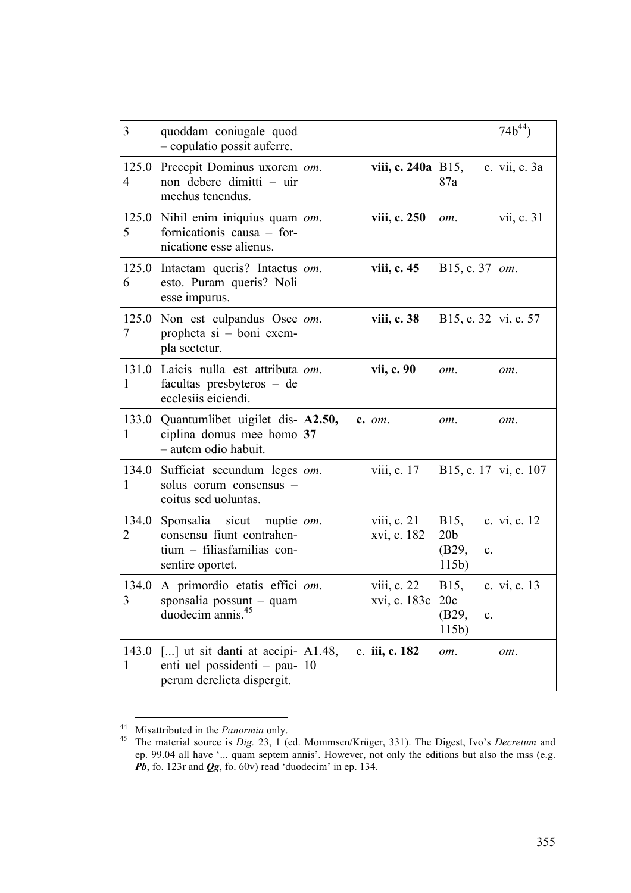| 3                       | quoddam coniugale quod<br>- copulatio possit auferre.                                                                     |    |                               |                                                             | $74b^{44}$       |
|-------------------------|---------------------------------------------------------------------------------------------------------------------------|----|-------------------------------|-------------------------------------------------------------|------------------|
| 125.0<br>$\overline{4}$ | Precepit Dominus uxorem   om.<br>non debere dimitti – uir<br>mechus tenendus.                                             |    | viii, c. 240a   B15,          | 87a                                                         | c. vii, c. $3a$  |
| 125.0<br>5              | Nihil enim iniquius quam $\vert$ om.<br>fornicationis causa - for-<br>nicatione esse alienus.                             |    | viii, c. 250                  | om.                                                         | vii, c. 31       |
| 125.0<br>6              | Intactam queris? Intactus $ om$ .<br>esto. Puram queris? Noli<br>esse impurus.                                            |    | viii, c. 45                   | B <sub>15</sub> , c. 37                                     | om.              |
| 125.0<br>7              | Non est culpandus Osee $\omega$ .<br>propheta si - boni exem-<br>pla sectetur.                                            |    | viii, c. 38                   | B15, c. 32   vi, c. 57                                      |                  |
| 131.0<br>1              | Laicis nulla est attributa om.<br>facultas presbyteros – de<br>ecclesiis eiciendi.                                        |    | vii, c. 90                    | om.                                                         | om.              |
| 133.0<br>$\mathbf{1}$   | Quantumlibet uigilet dis- A2.50,<br>ciplina domus mee homo $37$<br>- autem odio habuit.                                   |    | $c.$ $om.$                    | om.                                                         | om.              |
| 134.0<br>$\mathbf{1}$   | Sufficiat secundum leges   om.<br>solus eorum consensus -<br>coitus sed uoluntas.                                         |    | viii, c. 17                   | B15, c. 17   vi, c. 107                                     |                  |
| 134.0<br>2              | Sponsalia sicut nuptie $\vert$ <i>om</i> .<br>consensu fiunt contrahen-<br>tium - filiasfamilias con-<br>sentire oportet. |    | viii, c. $21$<br>xvi, c. 182  | B15,<br>20 <sub>b</sub><br>(B29,<br>$\mathbf{c}$ .<br>115b) | c.   vi, c. $12$ |
| 134.0<br>3              | $ A$ primordio etatis effici $ om$ .<br>sponsalia possunt – quam<br>duodecim annis. <sup>45</sup>                         |    | viii, $c. 22$<br>xvi, c. 183c | B15,<br>20c<br>(B29,<br>c.<br>115b)                         | c.   vi, c. 13   |
| 143.0<br>1              | $\vert$ [] ut sit danti at accipi- $\vert$ A1.48,<br>enti uel possidenti - pau-<br>perum derelicta dispergit.             | 10 | c. iii, c. 182                | om.                                                         | om.              |

<sup>44</sup> Misattributed in the *Panormia* only. 45 The material source is *Dig.* 23, 1 (ed. Mommsen/Krüger, 331). The Digest, Ivo's *Decretum* and ep. 99.04 all have '... quam septem annis'. However, not only the editions but also the mss (e.g. *Pb*, fo. 123r and *Qg*, fo. 60v) read 'duodecim' in ep. 134.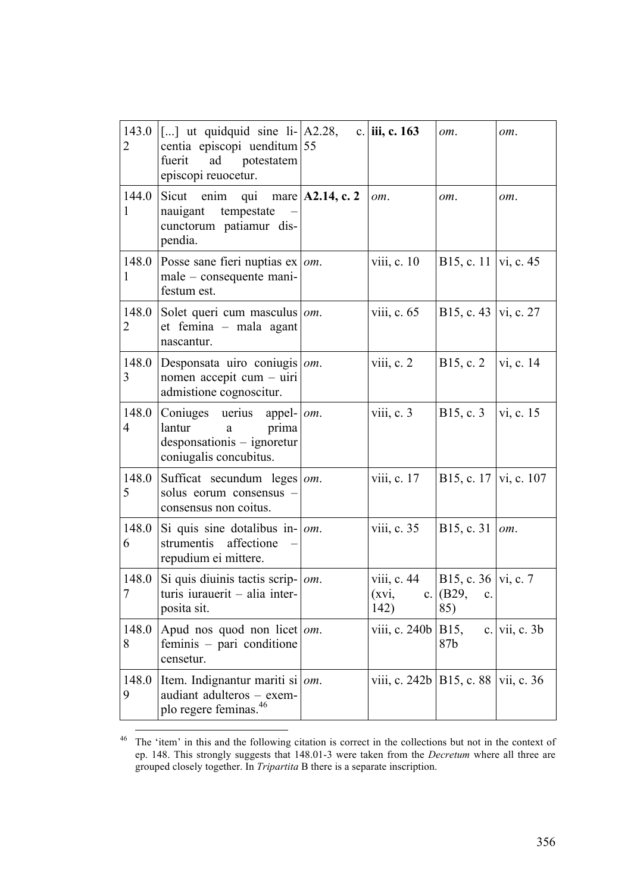| 143.0<br>2              | $\left[ \ldots \right]$ ut quidquid sine li- $\left[$ A2.28,<br>centia episcopi uenditum 55<br>fuerit<br>ad potestatem<br>episcopi reuocetur. |                      | c. iii, c. $163$               | om.                                         | om.             |
|-------------------------|-----------------------------------------------------------------------------------------------------------------------------------------------|----------------------|--------------------------------|---------------------------------------------|-----------------|
| 144.0<br>1              | Sicut enim<br>qui<br>nauigant tempestate<br>cunctorum patiamur dis-<br>pendia.                                                                | mare $ $ A2.14, c. 2 | om.                            | om.                                         | om.             |
| 148.0<br>1              | Posse sane fieri nuptias $ex \mid om$ .<br>male – consequente mani-<br>festum est.                                                            |                      | viii, $c. 10$                  | B15, c. 11   vi, c. 45                      |                 |
| 148.0<br>2              | Solet queri cum masculus   om.<br>et femina - mala agant<br>nascantur.                                                                        |                      | viii, c. $65$                  | B15, c. 43  vi, c. 27                       |                 |
| 148.0<br>3              | Desponsata uiro coniugis $\omega$ .<br>nomen accepit cum - uiri<br>admistione cognoscitur.                                                    |                      | viii, c. $2$                   | B <sub>15</sub> , c. 2                      | vi, c. 14       |
| 148.0<br>$\overline{4}$ | Coniuges uerius appel- $ om$ .<br>lantur<br>prima<br>$\mathbf{a}$<br>desponsationis – ignoretur<br>coniugalis concubitus.                     |                      | viii, $c.3$                    | B15, c. 3                                   | vi, c. 15       |
| 148.0<br>5              | Sufficat secundum leges $\omega$ .<br>solus eorum consensus -<br>consensus non coitus.                                                        |                      | viii, c. 17                    | B15, c. 17   vi, c. 107                     |                 |
| 148.0<br>6              | Si quis sine dotalibus in- $\vert$ <i>om</i> .<br>strumentis affectione<br>repudium ei mittere.                                               |                      | viii, c. 35                    | B15, c. 31 $\vert$ om.                      |                 |
| 148.0<br>$\overline{7}$ | Si quis diuinis tactis scrip- $ om$ .<br>turis iurauerit - alia inter-<br>posita sit.                                                         |                      | viii, c. $44$<br>(xvi,<br>142) | B15, c. 36   vi, c. 7<br>c. (B29, c.<br>85) |                 |
| 148.0<br>8              | Apud nos quod non licet $\vert$ om.<br>feminis – pari conditione<br>censetur.                                                                 |                      | viii, c. 240b                  | B15,<br>87b                                 | c. vii, c. $3b$ |
| 148.0<br>9              | Item. Indignantur mariti si $ om$ .<br>audiant adulteros - exem-<br>plo regere feminas. <sup>46</sup>                                         |                      | viii, c. 242b   B15, c. 88     |                                             | vii, c. 36      |

<sup>&</sup>lt;sup>46</sup> The 'item' in this and the following citation is correct in the collections but not in the context of ep. 148. This strongly suggests that 148.01-3 were taken from the *Decretum* where all three are grouped closely together. In *Tripartita* B there is a separate inscription.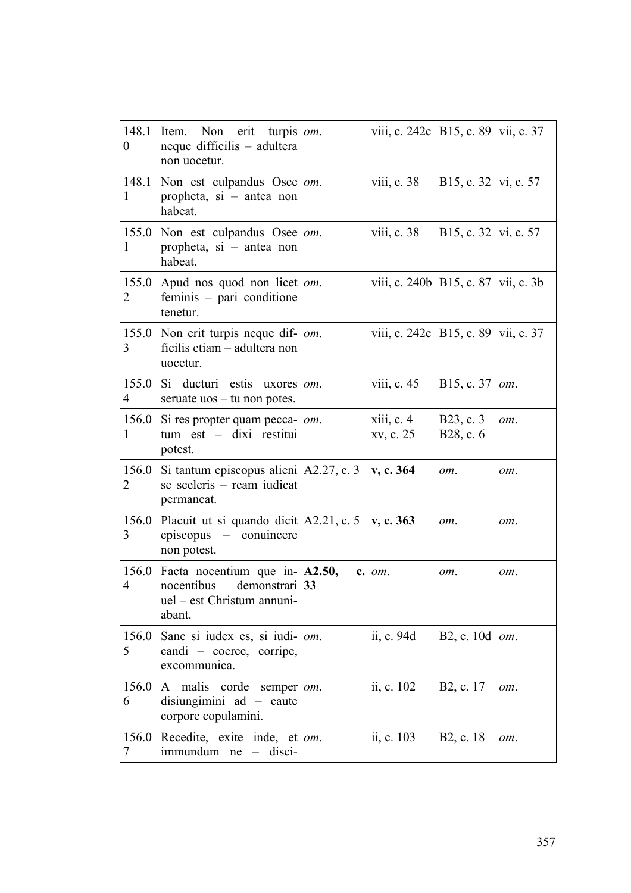| 148.1<br>$\boldsymbol{0}$ | Non erit<br>turpis <i>om</i> .<br>Item.<br>neque difficilis – adultera<br>non uocetur.                    |     | viii, c. 242c   B15, c. 89              |                         | vii, c. 37 |
|---------------------------|-----------------------------------------------------------------------------------------------------------|-----|-----------------------------------------|-------------------------|------------|
| 148.1<br>1                | Non est culpandus Osee   $om$ .<br>propheta, $si$ – antea non<br>habeat.                                  |     | viii, c. $38$                           | B15, c. 32   vi, c. 57  |            |
| 155.0<br>1                | Non est culpandus Osee   $om$ .<br>propheta, si - antea non<br>habeat.                                    |     | viii, c. 38                             | B15, c. 32   vi, c. 57  |            |
| 155.0<br>2                | Apud nos quod non licet   $om$ .<br>feminis - pari conditione<br>tenetur.                                 |     | viii, c. 240b   B15, c. 87   vii, c. 3b |                         |            |
| 155.0<br>3                | Non erit turpis neque dif- $\vert$ <i>om</i> .<br>ficilis etiam - adultera non<br>uocetur.                |     | viii, c. 242c   B15, c. 89   vii, c. 37 |                         |            |
| 155.0<br>4                | Si ducturi estis uxores<br>seruate $\cos - \tan$ non potes.                                               | om. | viii, c. 45                             | B15, c. 37              | om.        |
| 156.0<br>1                | Si res propter quam pecca-<br>tum est - dixi restitui<br>potest.                                          | om. | xiii, c. 4<br>xv, c. 25                 | B23, c. 3<br>B28, c. 6  | om.        |
| 156.0<br>2                | Si tantum episcopus alieni $ A2.27, c.3 $<br>se sceleris - ream iudicat<br>permaneat.                     |     | v, c. 364                               | om.                     | om.        |
| 156.0<br>3                | Placuit ut si quando dicit $ A2.21, c.5 $<br>episcopus – conuincere<br>non potest.                        |     | v, c. 363                               | om.                     | om.        |
| 156.0<br>4                | Facta nocentium que in- $ A2.50,$<br>nocentibus<br>demonstrari 33<br>uel - est Christum annuni-<br>abant. | c.  | om.                                     | om.                     | om.        |
| 156.0<br>5                | Sane si iudex es, si iudi- $ om$ .<br>candi - coerce, corripe,<br>excommunica.                            |     | ii, c. 94d                              | B <sub>2</sub> , c. 10d | om.        |
| 156.0<br>6                | A malis corde<br>semper $\omega$ .<br>disiungimini $ad - caute$<br>corpore copulamini.                    |     | ii, c. 102                              | B2, c. 17               | om.        |
| 156.0<br>7                | Recedite, exite inde, et   om.<br>$immundum$ ne – disci-                                                  |     | ii, c. 103                              | B2, c. 18               | om.        |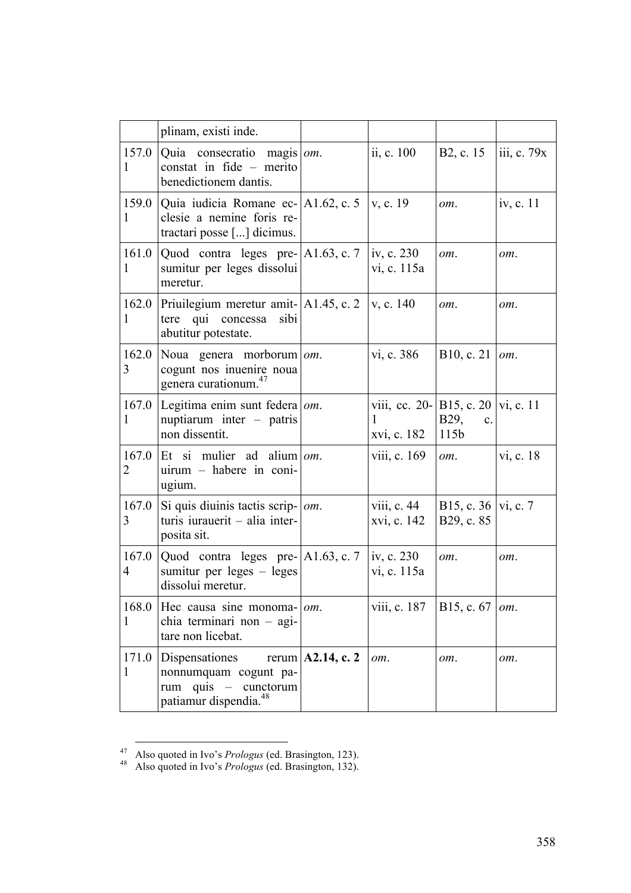|                       | plinam, existi inde.                                                                                         |                           |                                                          |                                     |             |
|-----------------------|--------------------------------------------------------------------------------------------------------------|---------------------------|----------------------------------------------------------|-------------------------------------|-------------|
| 157.0<br>1            | $\alpha$ Quia consecratio magis $\alpha$ .<br>constat in fide - merito<br>benedictionem dantis.              |                           | ii, c. 100                                               | B <sub>2</sub> , c. 15              | iii, c. 79x |
| 159.0<br>1            | Quia iudicia Romane ec- $ A1.62, c. 5 $<br>clesie a nemine foris re-<br>tractari posse [] dicimus.           |                           | v, c. 19                                                 | om.                                 | iv, c. 11   |
| 161.0<br>$\mathbf{1}$ | $\vert$ Quod contra leges pre- $\vert$ A1.63, c. 7<br>sumitur per leges dissolui<br>meretur.                 |                           | iv, c. 230<br>vi, c. 115a                                | om.                                 | om.         |
| 162.0<br>1            | Priuilegium meretur amit $ A1.45$ , c. 2<br>tere qui concessa<br>sibi<br>abutitur potestate.                 |                           | v, c. 140                                                | om.                                 | om.         |
| 162.0<br>3            | Noua genera morborum om.<br>cogunt nos inuenire noua<br>genera curationum. <sup>47</sup>                     |                           | vi, c. 386                                               | B10, c. 21                          | om.         |
| 167.0<br>$\mathbf{1}$ | Legitima enim sunt federa   om.<br>nuptiarum inter - patris<br>non dissentit.                                |                           | viii, cc. 20- B15, c. 20   vi, c. 11<br>1<br>xvi, c. 182 | B29, c.<br>115 <sub>b</sub>         |             |
| 167.0<br>2            | Et si mulier ad alium $\omega$ .<br>uirum - habere in coni-<br>ugium.                                        |                           | viii, c. 169                                             | om.                                 | vi, c. 18   |
| 167.0<br>3            | Si quis diuinis tactis scrip- $ om$ .<br>turis iurauerit $-$ alia inter-<br>posita sit.                      |                           | viii, c. 44<br>xvi, c. 142                               | B15, c. 36   vi, c. 7<br>B29, c. 85 |             |
| 167.0<br>4            | Quod contra leges pre- $ A1.63, c.7 $<br>sumitur per leges $-$ leges<br>dissolui meretur.                    |                           | iv, c. $230$<br>vi, c. 115a                              | $om_{-}$                            | om.         |
| 168.0<br>1            | Hec causa sine monoma-<br>chia terminari non - agi-<br>tare non licebat.                                     | $om$ .                    | viii, c. 187                                             | B <sub>15</sub> , c. 67             | om.         |
| 171.0<br>1            | Dispensationes<br>nonnumquam cogunt pa-<br>quis $-$<br>cunctorum<br>rum<br>patiamur dispendia. <sup>48</sup> | rerum $\vert$ A2.14, c. 2 | om.                                                      | om.                                 | om.         |

<sup>47</sup> Also quoted in Ivo's *Prologus* (ed. Brasington, 123). <sup>48</sup> Also quoted in Ivo's *Prologus* (ed. Brasington, 132).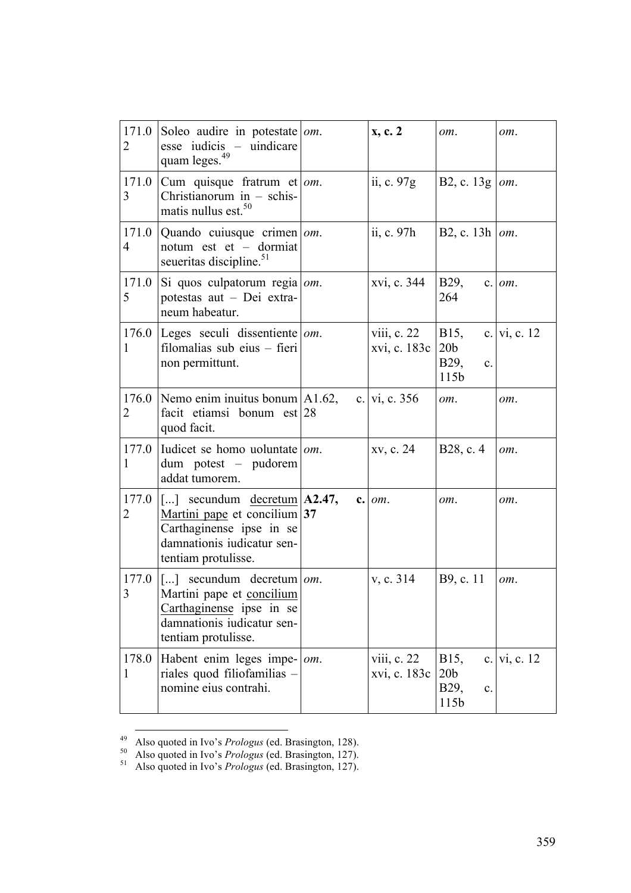| 171.0<br>$\overline{2}$ | Soleo audire in potestate   om.<br>esse iudicis – uindicare<br>quam leges. <sup>49</sup>                                                                                                |     | x, c. 2                       | om.                                           | om.              |
|-------------------------|-----------------------------------------------------------------------------------------------------------------------------------------------------------------------------------------|-----|-------------------------------|-----------------------------------------------|------------------|
| 171.0<br>3              | Cum quisque fratrum et $\omega$ .<br>Christianorum in $-$ schis-<br>matis nullus est. <sup>50</sup>                                                                                     |     | ii, c. 97g                    | B2, c. 13g                                    | om.              |
| 171.0<br>$\overline{4}$ | Quando cuiusque crimen om.<br>notum est et - dormiat<br>seueritas discipline. <sup>51</sup>                                                                                             |     | ii, c. 97h                    | B2, c. 13h $\vert$ om.                        |                  |
| 171.0<br>5              | Si quos culpatorum regia $\vert$ <i>om</i> .<br>potestas aut - Dei extra-<br>neum habeatur.                                                                                             |     | xvi, c. 344                   | <b>B29</b> ,<br>264                           | $c.$ $om.$       |
| 1                       | 176.0 Leges seculi dissentiente $\omega$ .<br>filomalias sub eius - fieri<br>non permittunt.                                                                                            |     | viii, c. 22<br>xvi, c. 183c   | B15,<br>20 <sub>b</sub><br>B29,<br>c.<br>115b | c.   vi, c. $12$ |
| 176.0<br>2              | Nemo enim inuitus bonum $ A1.62 $ ,<br>facit etiamsi bonum est 28<br>quod facit.                                                                                                        |     | c. vi, c. 356                 | om.                                           | om.              |
| 177.0<br>1              | Iudicet se homo uoluntate $\omega$ .<br>dum potest - pudorem<br>addat tumorem.                                                                                                          |     | xv, c. 24                     | B <sub>28</sub> , c. 4                        | om.              |
| 177.0<br>2              | $\begin{bmatrix} \ldots \end{bmatrix}$ secundum <u>decretum</u> A2.47,<br>Martini pape et concilium 37<br>Carthaginense ipse in se<br>damnationis iudicatur sen-<br>tentiam protulisse. |     | $c.$ $om.$                    | om.                                           | om.              |
| 177.0<br>3              | $\vert$ [] secundum decretum $\vert$ <i>om</i> .<br>Martini pape et concilium<br>Carthaginense ipse in se<br>damnationis iudicatur sen-<br>tentiam protulisse.                          |     | v, c. 314                     | B9, c. 11                                     | om.              |
| 178.0<br>1              | Habent enim leges impe-<br>riales quod filiofamilias -<br>nomine eius contrahi.                                                                                                         | om. | viii, $c. 22$<br>xvi, c. 183c | B15,<br>20 <sub>b</sub><br>B29,<br>c.<br>115b | c.   vi, c. $12$ |

<sup>49</sup> Also quoted in Ivo's *Prologus* (ed. Brasington, 128). <sup>50</sup> Also quoted in Ivo's *Prologus* (ed. Brasington, 127). <sup>51</sup> Also quoted in Ivo's *Prologus* (ed. Brasington, 127).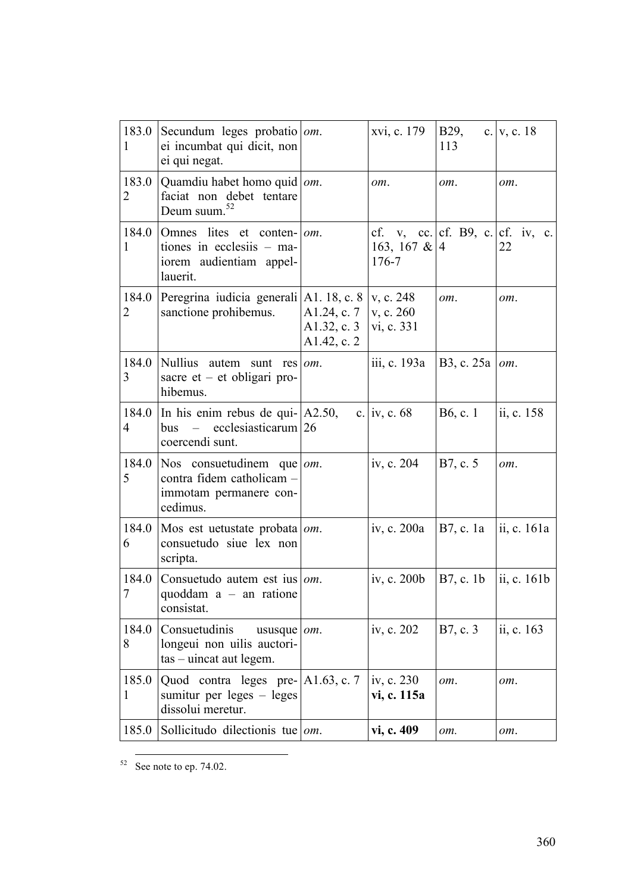| 183.0<br>1              | Secundum leges probatio $\omega$ .<br>ei incumbat qui dicit, non<br>ei qui negat.                   |                                           | xvi, c. 179                                                      | <b>B29</b> ,<br>113        | c. $v, c. 18$ |
|-------------------------|-----------------------------------------------------------------------------------------------------|-------------------------------------------|------------------------------------------------------------------|----------------------------|---------------|
| 183.0<br>2              | Quamdiu habet homo quid   om.<br>faciat non debet tentare<br>52<br>Deum suum.                       |                                           | om.                                                              | om.                        | om.           |
| 184.0<br>1              | Omnes lites et conten-<br>tiones in ecclesiis - ma-<br>iorem audientiam appel-<br>lauerit.          | om.                                       | cf. v, cc. $cf.$ B9, c. $cf.$ iv, c.<br>163, 167 & $ 4$<br>176-7 |                            | 22            |
| 2                       | 184.0 Peregrina iudicia generali A1. 18, c. 8<br>sanctione prohibemus.                              | A1.24, c. 7<br>A1.32, c. 3<br>A1.42, c. 2 | v, c. 248<br>v, c. 260<br>vi, c. 331                             | om.                        | om.           |
| 184.0<br>3              | Nullius autem sunt res $\omega$ .<br>sacre et $-$ et obligari pro-<br>hibemus.                      |                                           | iii, c. 193a                                                     | B3, c. $25a$   <i>om</i> . |               |
| 184.0<br>$\overline{4}$ | In his enim rebus de qui- $ A2.50$ ,<br>$bus$ – ecclesiasticarum 26<br>coercendi sunt.              |                                           | c. iv, c. $68$                                                   | B6, c. 1                   | ii, c. 158    |
| 184.0<br>5              | Nos consuetudinem que $\omega$ .<br>contra fidem catholicam -<br>immotam permanere con-<br>cedimus. |                                           | iv, c. 204                                                       | B7, c. 5                   | om.           |
| 184.0<br>6              | Mos est uetustate probata $\omega$ .<br>consuetudo siue lex non<br>scripta.                         |                                           | iv, c. 200a                                                      | B7, c. 1a                  | ii, c. 161a   |
| 184.0<br>$\overline{7}$ | Consuetudo autem est ius $ om$ .<br>quoddam $a - an$ ratione<br>consistat.                          |                                           | iv, c. $200b$                                                    | B7, c. 1b                  | ii, c. $161b$ |
| 184.0<br>8              | Consuetudinis<br>ususque $\vert$ om.<br>longeui non uilis auctori-<br>$tas - uincat aut legem.$     |                                           | iv, c. 202                                                       | B7, c. 3                   | ii, c. 163    |
| 185.0<br>1              | Quod contra leges pre-   A1.63, c. 7<br>sumitur per leges $-$ leges<br>dissolui meretur.            |                                           | iv, c. 230<br>vi, c. 115a                                        | om.                        | om.           |
| 185.0                   | Sollicitudo dilectionis tue $ om$ .                                                                 |                                           | vi, c. 409                                                       | om.                        | om.           |

 $52 \text{ See note to ep. } 74.02.$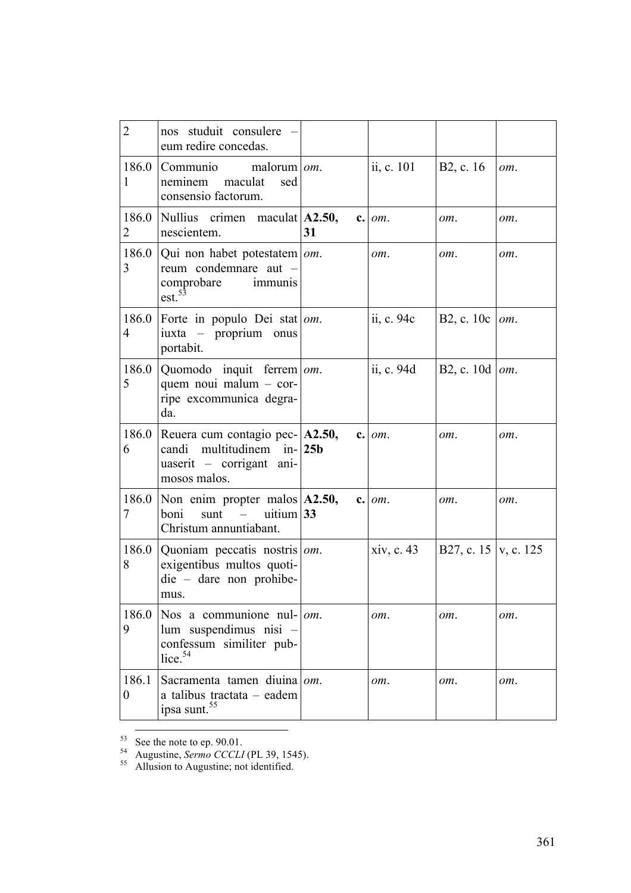| $\overline{2}$            | nos studuit consulere<br>eum redire concedas.                                                                                        |    |            |                        |     |
|---------------------------|--------------------------------------------------------------------------------------------------------------------------------------|----|------------|------------------------|-----|
| 186.0<br>1                | Communio<br>malorum $\omega$ .<br>neminem<br>maculat<br>sed<br>consensio factorum.                                                   |    | ii, c. 101 | B <sub>2</sub> , c. 16 | om. |
| 186.0<br>2                | Nullius crimen maculat A2.50,<br>nescientem.                                                                                         | 31 | $c.$ $om.$ | om.                    | om. |
| 3                         | 186.0   Qui non habet potestatem $\vert \textit{om} \vert$ .<br>reum condemnare aut -<br>comprobare<br>immunis<br>est. <sup>53</sup> |    | om.        | om.                    | om. |
| 186.0<br>$\overline{4}$   | Forte in populo Dei stat <i>om</i> .<br>iuxta – proprium onus<br>portabit.                                                           |    | ii, c. 94c | B2, c. $10c$           | om. |
| 186.0<br>5                | Quomodo inquit ferrem   om.<br>quem noui malum - cor-<br>ripe excommunica degra-<br>da.                                              |    | ii, c. 94d | B2, c. 10d   $om$ .    |     |
| 6                         | 186.0 Reuera cum contagio pec- $ A2.50,$<br>candi multitudinem in- $ 25b $<br>uaserit - corrigant ani-<br>mosos malos.               |    | $c.$ $om.$ | om.                    | om. |
| 7                         | 186.0 Non enim propter malos $ A2.50$ ,<br>uitium $33$<br>boni<br>sunt<br>Christum annuntiabant.                                     |    | $c.$ $om.$ | om.                    | om. |
| 8                         | 186.0   Quoniam peccatis nostris   $om$ .<br>exigentibus multos quoti-<br>$die - dare$ non prohibe-<br>mus.                          |    | xiv, c. 43 | B27, c. 15   v, c. 125 |     |
| 186.0<br>9                | Nos a communione nul- $\vert$ <i>om</i> .<br>lum suspendimus nisi -<br>confessum similiter pub-<br>lice. $54$                        |    | om.        | om.                    | om. |
| 186.1<br>$\boldsymbol{0}$ | Sacramenta tamen diuina om.<br>a talibus tractata - eadem<br>ipsa sunt. <sup>55</sup>                                                |    | om.        | om.                    | om. |

<sup>53</sup> See the note to ep. 90.01.<br><sup>54</sup> Augustine, *Sermo CCCLI* (PL 39, 1545).<br><sup>55</sup> Allusion to Augustine; not identified.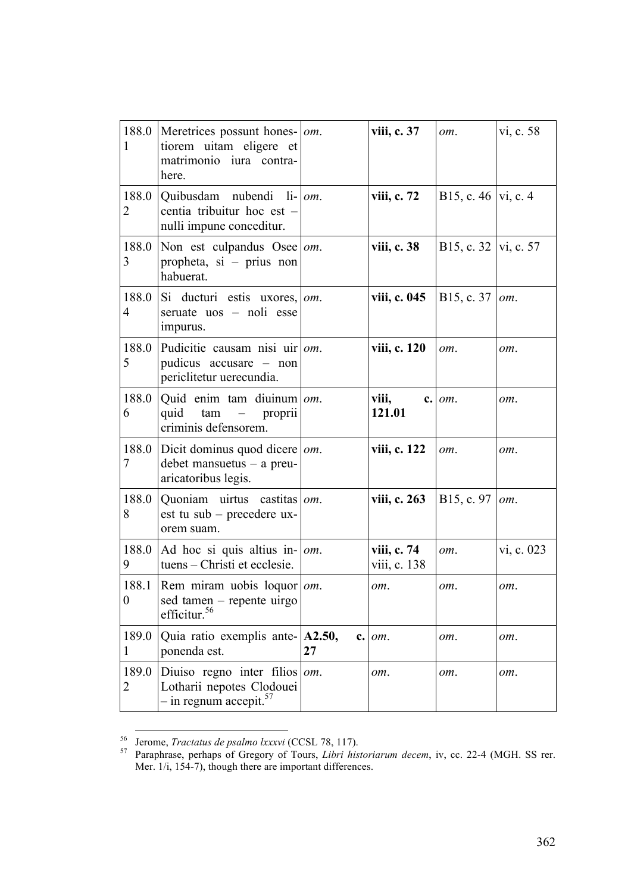| 188.0<br>1                | Meretrices possunt hones-   <i>om</i> .<br>tiorem uitam eligere et<br>matrimonio iura contra-<br>here. |     | viii, c. 37                 | om.                        | vi, c. 58  |
|---------------------------|--------------------------------------------------------------------------------------------------------|-----|-----------------------------|----------------------------|------------|
| 188.0<br>2                | Quibusdam nubendi li-lom.<br>centia tribuitur hoc est -<br>nulli impune conceditur.                    |     | viii, c. 72                 | B15, c. 46  vi, c. 4       |            |
| 188.0<br>3                | Non est culpandus Osee   $om$ .<br>propheta, si – prius non<br>habuerat.                               |     | viii, c. 38                 | B15, c. 32   vi, c. 57     |            |
| 188.0<br>4                | Si ducturi estis uxores,<br>seruate uos - noli esse<br>impurus.                                        | om. | viii, c. 045                | B15, c. $37$   <i>om</i> . |            |
| 188.0<br>5                | Pudicitie causam nisi uir<br>pudicus accusare - non<br>periclitetur uerecundia.                        | om. | viii, c. 120                | om.                        | om.        |
| 188.0<br>6                | Quid enim tam diuinum<br>quid tam –<br>proprii<br>criminis defensorem.                                 | om. | viii,<br>c.<br>121.01       | om.                        | om.        |
| 188.0<br>7                | Dicit dominus quod dicere<br>$debet$ mansuetus – a preu-<br>aricatoribus legis.                        | om. | viii, c. 122                | om.                        | om.        |
| 188.0<br>8                | Quoniam uirtus castitas $\omega$ m.<br>est tu sub – precedere ux-<br>orem suam.                        |     | viii, c. 263                | B15, c. 97                 | om.        |
| 9                         | 188.0 Ad hoc si quis altius in- $\vert$ om.<br>tuens – Christi et ecclesie.                            |     | viii, c. 74<br>viii, c. 138 | om.                        | vi, c. 023 |
| 188.1<br>$\boldsymbol{0}$ | Rem miram uobis loquor $ om$ .<br>sed tamen – repente uirgo<br>efficitur. <sup>56</sup>                |     | om.                         | om.                        | om.        |
| 189.0<br>$\mathbf 1$      | Quia ratio exemplis ante- A2.50,<br>ponenda est.                                                       | 27  | $c.$ $om.$                  | om.                        | om.        |
| 189.0<br>2                | Diuiso regno inter filios<br>Lotharii nepotes Clodouei<br>$-$ in regnum accepit. <sup>57</sup>         | om. | om.                         | om.                        | om.        |

<sup>56</sup> Jerome, *Tractatus de psalmo lxxxvi* (CCSL 78, 117). <sup>57</sup> Paraphrase, perhaps of Gregory of Tours, *Libri historiarum decem*, iv, cc. 22-4 (MGH. SS rer. Mer.  $1/i$ ,  $154-7$ ), though there are important differences.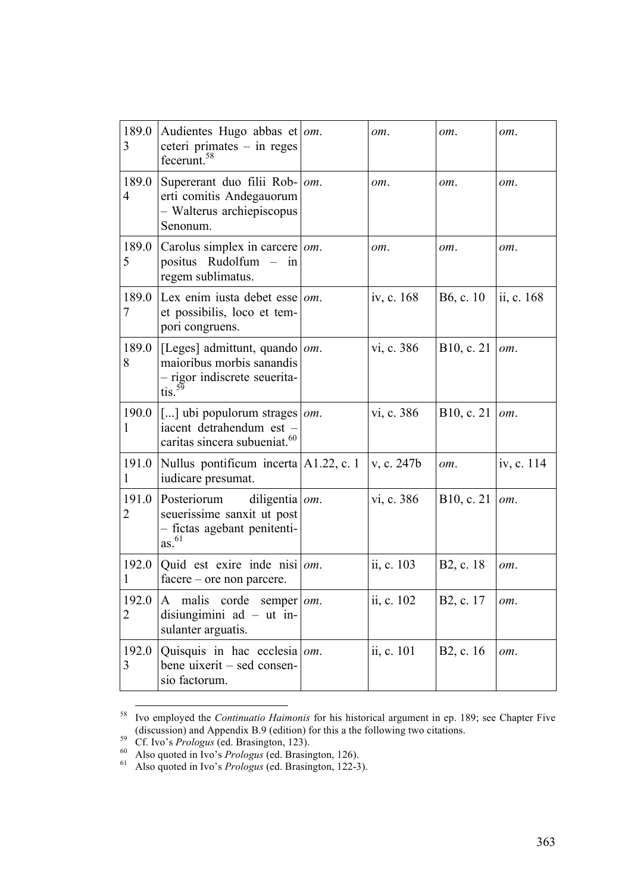| 189.0<br>3 | Audientes Hugo abbas et   $om$ .<br>ceteri primates $-$ in reges<br>fecerunt. <sup>58</sup>                          | om.        | om.                    | $om_{\cdot}$ |
|------------|----------------------------------------------------------------------------------------------------------------------|------------|------------------------|--------------|
| 189.0<br>4 | Supererant duo filii Rob-   om.<br>erti comitis Andegauorum<br>- Walterus archiepiscopus<br>Senonum.                 | om.        | om.                    | om.          |
| 189.0<br>5 | Carolus simplex in carcere   om.<br>positus Rudolfum – in<br>regem sublimatus.                                       | om.        | om.                    | om.          |
| 189.0<br>7 | Lex enim iusta debet esse $\vert$ om.<br>et possibilis, loco et tem-<br>pori congruens.                              | iv, c. 168 | B6, c. 10              | ii, c. 168   |
| 189.0<br>8 | [Leges] admittunt, quando   $om$ .<br>maioribus morbis sanandis<br>- rigor indiscrete seuerita-<br>$\sin^{59}$       | vi, c. 386 | B10, c. 21             | om.          |
| 190.0<br>1 | [] ubi populorum strages $\omega$ .<br>iacent detrahendum est -<br>caritas sincera subueniat. <sup>60</sup>          | vi, c. 386 | B10, c. 21             | om.          |
| 191.0<br>1 | Nullus pontificum incerta A1.22, c. 1<br>iudicare presumat.                                                          | v, c. 247b | om.                    | iv, c. 114   |
| 191.0<br>2 | diligentia $om$ .<br>Posteriorum<br>seuerissime sanxit ut post<br>- fictas agebant penitenti-<br>$as.$ <sup>61</sup> | vi, c. 386 | B10, c. 21             | om.          |
| 1          | 192.0   Quid est exire inde nisi   $om$ .<br>facere – ore non parcere.                                               | ii, c. 103 | B <sub>2</sub> , c. 18 | om.          |
| 192.0<br>2 | malis corde semper <i>om</i> .<br>A<br>disiungimini $ad - ut$ in-<br>sulanter arguatis.                              | ii, c. 102 | B2, c. 17              | om.          |
| 192.0<br>3 | Quisquis in hac ecclesia $\vert$ om.<br>bene uixerit – sed consen-<br>sio factorum.                                  | ii, c. 101 | B <sub>2</sub> , c. 16 | om.          |

<sup>&</sup>lt;sup>58</sup> Ivo employed the *Continuatio Haimonis* for his historical argument in ep. 189; see Chapter Five (discussion) and Appendix B.9 (edition) for this a the following two citations.

<sup>&</sup>lt;sup>59</sup> Cf. Ivo's *Prologus* (ed. Brasington, 123).<br><sup>60</sup> Also quoted in Ivo's *Prologus* (ed. Brasington, 126).<br><sup>61</sup> Also quoted in Ivo's *Prologus* (ed. Brasington, 122-3).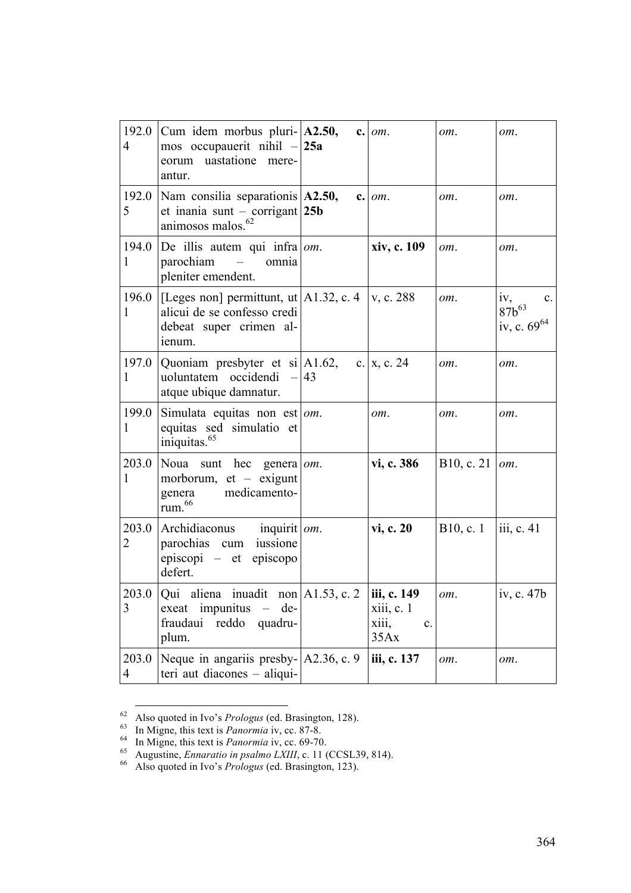| 192.0<br>$\overline{4}$ | Cum idem morbus pluri- $ A2.50,$<br>mos occupauerit nihil $-25a$<br>eorum uastatione mere-<br>antur.                       |    | $c.$ $om.$                                       | om.                   | om.                                                            |
|-------------------------|----------------------------------------------------------------------------------------------------------------------------|----|--------------------------------------------------|-----------------------|----------------------------------------------------------------|
| 192.0<br>5              | Nam consilia separationis $A2.50$ ,<br>et inania sunt – corrigant $ 25b $<br>animosos malos. <sup>62</sup>                 |    | $c.$ $om.$                                       | om.                   | om.                                                            |
| 194.0<br>1              | De illis autem qui infra $ om$ .<br>parochiam<br>$\sim$ $-$<br>omnia<br>pleniter emendent.                                 |    | xiv, c. 109                                      | om.                   | om.                                                            |
| 196.0<br>1              | [[Leges non] permittunt, ut   A1.32, c. 4   v, c. 288]<br>alicui de se confesso credi<br>debeat super crimen al-<br>ienum. |    |                                                  | om.                   | iv,<br>$\mathbf{c}$ .<br>$87b^{63}$<br>iv, c. 69 <sup>64</sup> |
| 197.0<br>1              | Quoniam presbyter et si $ A1.62\rangle$ ,<br>uoluntatem occidendi -<br>atque ubique damnatur.                              | 43 | c.   x, c. 24                                    | om.                   | om.                                                            |
| 199.0<br>1              | Simulata equitas non est $ om$ .<br>equitas sed simulatio et<br>iniquitas. <sup>65</sup>                                   |    | om.                                              | om.                   | om.                                                            |
| 203.0<br>1              | Noua sunt hec<br>genera <i>om</i> .<br>morborum, $et - e^{x}$<br>medicamento-<br>genera<br>rum. <sup>66</sup>              |    | vi, c. 386                                       | B10, c. 21 $\mid$ om. |                                                                |
| 203.0<br>2              | Archidiaconus<br>inquirit   om.<br>parochias cum<br>iussione<br>episcopi – et episcopo<br>defert.                          |    | vi, c. 20                                        | B10, c. 1             | $\overline{\text{iii}}$ , c. 41                                |
| 203.0<br>3              | Qui aliena inuadit non $A1.53$ , c. 2<br>exeat impunitus<br>de-<br>fraudaui reddo<br>quadru-<br>plum.                      |    | iii, c. 149<br>xiii, c. 1<br>X111,<br>c.<br>35Ax | om.                   | iv, c. 47b                                                     |
| 203.0<br>$\overline{4}$ | Neque in angariis presby- $ A2.36, c.9\rangle$<br>teri aut diacones – aliqui-                                              |    | iii, c. 137                                      | om.                   | om.                                                            |

<sup>&</sup>lt;sup>62</sup> Also quoted in Ivo's *Prologus* (ed. Brasington, 128).<br><sup>63</sup> In Migne, this text is *Panormia* iv, cc. 87-8.<br><sup>64</sup> In Migne, this text is *Panormia* iv, cc. 69-70.<br><sup>65</sup> Augustine, *Ennaratio in psalmo LXIII*, c. 11 (CC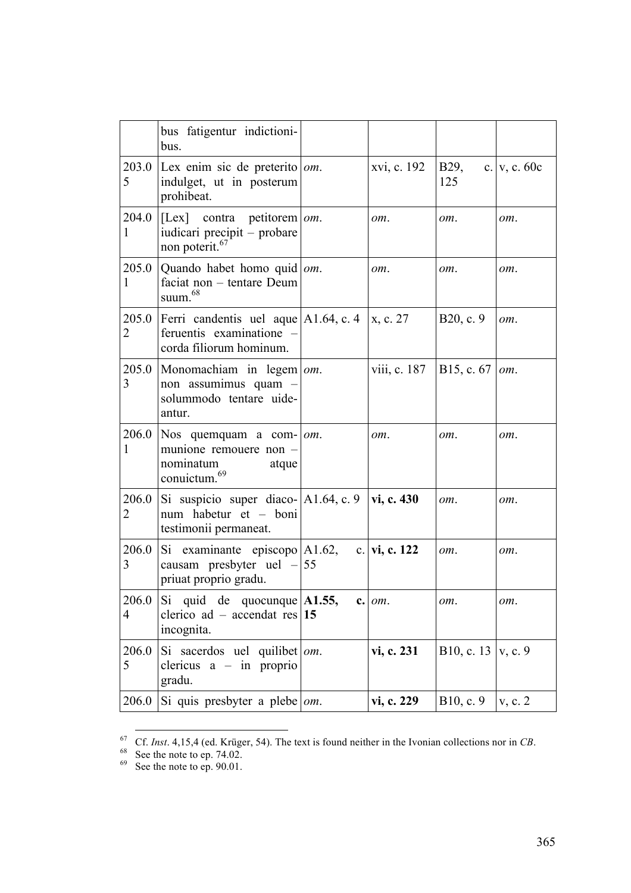|                         | bus fatigentur indictioni-<br>bus.                                                                                  |              |                       |                |
|-------------------------|---------------------------------------------------------------------------------------------------------------------|--------------|-----------------------|----------------|
| 5                       | 203.0 Lex enim sic de preterito $\omega$ .<br>indulget, ut in posterum<br>prohibeat.                                | xvi, c. 192  | B29,<br>125           | c. $v, c. 60c$ |
| 204.0<br>1              | $ [Lex]$ contra petitorem <i>om</i> .<br>iudicari precipit – probare<br>non poterit. <sup>67</sup>                  | om.          | om.                   | om.            |
| 205.0<br>1              | Quando habet homo quid <i>om</i> .<br>faciat non - tentare Deum<br>suum. <sup>68</sup>                              | om.          | om.                   | om.            |
| 205.0<br>2              | Ferri candentis uel aque $A1.64$ , c. 4<br>feruentis examinatione -<br>corda filiorum hominum.                      | x, c. 27     | B20, c. 9             | om.            |
| 205.0<br>3              | Monomachiam in legem $\omega$ .<br>non assumimus quam -<br>solummodo tentare uide-<br>antur.                        | viii, c. 187 | B15, c. 67            | om.            |
| 1                       | 206.0   Nos quemquam a com- $\vert$ om.<br>munione remouere non -<br>nominatum<br>atque<br>conuictum. <sup>69</sup> | om.          | om.                   | om.            |
| 206.0<br>2              | Si suspicio super diaco- $ A1.64, c. 9 $ vi, c. 430<br>num habetur et - boni<br>testimonii permaneat.               |              | om.                   | om.            |
| 206.0<br>3              | Si examinante episcopo $ A1.62$ , c. vi, c. 122<br>causam presbyter uel $-155$<br>priuat proprio gradu.             |              | om.                   | om.            |
| 206.0<br>$\overline{4}$ | Si quid de quocunque $ $ A1.55,<br>clerico ad – accendat res 15<br>incognita.                                       | $c.$ $om.$   | om.                   | om.            |
| 206.0<br>5              | Si sacerdos uel quilibet $\omega$ .<br>clericus $a - in$ proprio<br>gradu.                                          | vi, c. 231   | B10, c. 13 $ v, c. 9$ |                |
| 206.0                   | Si quis presbyter a plebe $\vert$ <i>om</i> .                                                                       | vi, c. 229   | B10, c. 9             | v, c. 2        |

<sup>&</sup>lt;sup>67</sup> Cf. *Inst*. 4,15,4 (ed. Krüger, 54). The text is found neither in the Ivonian collections nor in *CB*.<br><sup>68</sup> See the note to ep. 74.02.<br><sup>69</sup> See the note to ep. 90.01.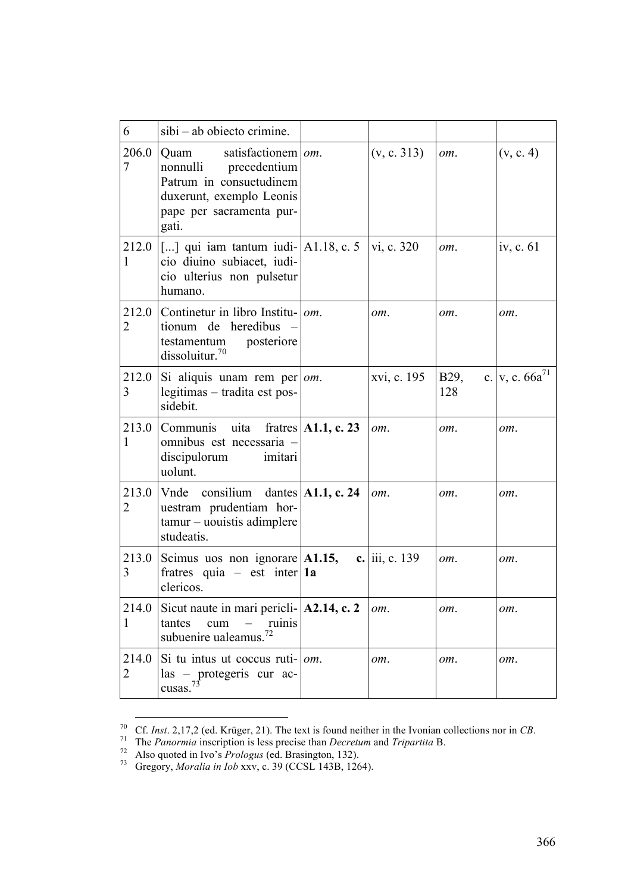| 6                       | sibi - ab obiecto crimine.                                                                                                                              |                |                        |                      |
|-------------------------|---------------------------------------------------------------------------------------------------------------------------------------------------------|----------------|------------------------|----------------------|
| 206.0<br>7              | satisfactionem $\vert$ om.<br>Quam<br>nonnulli precedentium<br>Patrum in consuetudinem<br>duxerunt, exemplo Leonis<br>pape per sacramenta pur-<br>gati. | (v, c. 313)    | om.                    | (v, c. 4)            |
| 212.0<br>$\mathbf{1}$   | $\vert$ [] qui iam tantum iudi- $\vert$ A1.18, c. 5<br>cio diuino subiacet, iudi-<br>cio ulterius non pulsetur<br>humano.                               | vi, c. 320     | om.                    | iv, c. 61            |
| 212.0<br>$\overline{2}$ | Continetur in libro Institu-   <i>om</i> .<br>tionum de heredibus<br>testamentum<br>posteriore<br>dissoluitur. $70$                                     | om.            | om.                    | om.                  |
| 212.0<br>3              | $\left  \right $ Si aliquis unam rem per $\left  om \right $ .<br>legitimas - tradita est pos-<br>sidebit.                                              | xvi, c. 195    | B <sub>29</sub><br>128 | c. $ v, c. 66a^{71}$ |
| 213.0<br>1              | Communis uita fratres $ A1.1, c. 23 $<br>omnibus est necessaria -<br>discipulorum imitari<br>uolunt.                                                    | om.            | om.                    | om.                  |
| 213.0<br>2              | Vnde consilium dantes $ A1.1, c. 24 $<br>uestram prudentiam hor-<br>tamur - uouistis adimplere<br>studeatis.                                            | om.            | om.                    | om.                  |
| 213.0<br>3              | Scimus uos non ignorare A1.15,<br>fratres quia – est inter   1a<br>clericos.                                                                            | c. iii, c. 139 | om.                    | om.                  |
| 214.0<br>$\mathbf{1}$   | Sicut naute in mari pericli- $ A2.14, c.2$<br>tantes<br>cum<br>ruinis<br>subuenire ualeamus. <sup>72</sup>                                              | om.            | om.                    | om.                  |
| 214.0<br>2              | Si tu intus ut coccus ruti- $ om$ .<br>las - protegeris cur ac-<br>cusas. $73$                                                                          | om.            | om.                    | om.                  |

<sup>&</sup>lt;sup>70</sup> Cf. *Inst.* 2,17,2 (ed. Krüger, 21). The text is found neither in the Ivonian collections nor in *CB*.<br><sup>71</sup> The *Panormia* inscription is less precise than *Decretum* and *Tripartita* B.<br><sup>72</sup> Also quoted in Ivo's *Pr*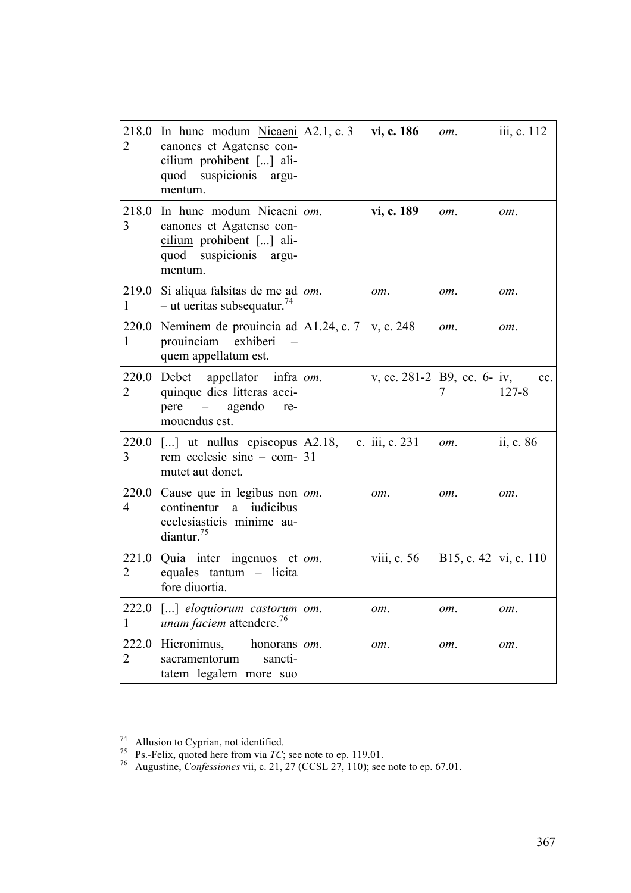| 218.0<br>$\overline{2}$ | In hunc modum $Nicaeni$ A2.1, c. 3<br>canones et Agatense con-<br>cilium prohibent [] ali-<br>quod suspicionis<br>argu-<br>mentum. |     | vi, c. 186                                | om.                     | iii, c. 112           |
|-------------------------|------------------------------------------------------------------------------------------------------------------------------------|-----|-------------------------------------------|-------------------------|-----------------------|
| 218.0<br>3              | In hunc modum Nicaeni $ om$ .<br>canones et Agatense con-<br>cilium prohibent [] ali-<br>quod suspicionis argu-<br>mentum.         |     | vi, c. 189                                | om.                     | om.                   |
| 219.0<br>1              | Si aliqua falsitas de me ad   om.<br>$-$ ut ueritas subsequatur. <sup>74</sup>                                                     |     | om.                                       | om.                     | om.                   |
| 220.0<br>$\mathbf{1}$   | Neminem de prouincia ad $A1.24$ , c. 7<br>prouinciam exhiberi<br>quem appellatum est.                                              |     | v, c. 248                                 | om.                     | om.                   |
| 220.0<br>2              | Debet appellator infra   $om$ .<br>quinque dies litteras acci-<br>pere – agendo<br>re-<br>mouendus est.                            |     | v, cc. 281-2   B9, cc. 6-   iv,           | 7                       | $cc_{-}$<br>$127 - 8$ |
| 220.0<br>3              | $\vert$ [] ut nullus episcopus $\vert$ A2.18,<br>rem ecclesie sine – com- $ 31 $<br>mutet aut donet.                               |     | c. $\vert \text{iii}, \text{c} \vert 231$ | om.                     | ii, c. $86$           |
| 220.0<br>$\overline{4}$ | Cause que in legibus non om.<br>continentur a iudicibus<br>ecclesiasticis minime au-<br>diantur. $75$                              |     | om.                                       | om.                     | om.                   |
| 221.0<br>2              | Quia inter ingenuos et   $om$ .<br>equales tantum - licita<br>fore diuortia.                                                       |     | viii, c. $56$                             | B15, c. 42   vi, c. 110 |                       |
| 222.0<br>1              | [] eloquiorum castorum<br>unam faciem attendere. <sup>76</sup>                                                                     | om. | om.                                       | om.                     | om.                   |
| 222.0<br>2              | Hieronimus,<br>honorans<br>sacramentorum<br>sancti-<br>tatem legalem more suo                                                      | om. | om.                                       | om.                     | om.                   |

<sup>&</sup>lt;sup>74</sup> Allusion to Cyprian, not identified.<br><sup>75</sup> Ps.-Felix, quoted here from via *TC*; see note to ep. 119.01.<br><sup>76</sup> Augustine, *Confessiones* vii, c. 21, 27 (CCSL 27, 110); see note to ep. 67.01.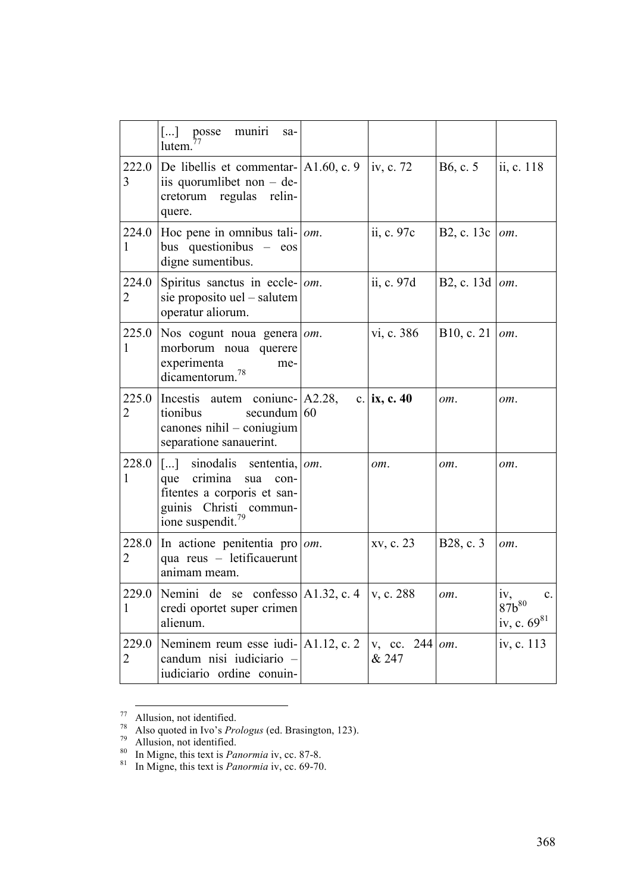|            | muniri<br>$\lfloor  \rfloor$<br>posse<br>sa-<br>lutem.                                                                                                  |                                   |                     |                                                                       |
|------------|---------------------------------------------------------------------------------------------------------------------------------------------------------|-----------------------------------|---------------------|-----------------------------------------------------------------------|
| 222.0<br>3 | De libellis et commentar- $ A1.60, c.9 $<br>iis quorumlibet non $-$ de-<br>cretorum regulas relin-<br>quere.                                            | iv, c. 72                         | B6, c. 5            | ii, c. 118                                                            |
| 224.0<br>1 | Hoc pene in omnibus tali- $ om$ .<br>bus questionibus – eos<br>digne sumentibus.                                                                        | ii, c. 97c                        | B2, c. 13c          | om.                                                                   |
| 224.0<br>2 | Spiritus sanctus in eccle- $ om$ .<br>sie proposito uel – salutem<br>operatur aliorum.                                                                  | ii, c. 97d                        | B2, c. 13d   $om$ . |                                                                       |
| 225.0<br>1 | Nos cogunt noua genera $\omega$ .<br>morborum noua querere<br>experimenta<br>me-<br>dicamentorum. <sup>78</sup>                                         | vi, c. 386                        | B10, c. 21          | om.                                                                   |
| 225.0<br>2 | Incestis autem coniunc- A2.28,<br>tionibus<br>secundum $ 60$<br>canones nihil - coniugium<br>separatione sanauerint.                                    | c.   ix, c. 40                    | om.                 | om.                                                                   |
| 228.0<br>1 | [] sinodalis sententia, $ om$ .<br>que crimina<br>sua<br>con-<br>fitentes a corporis et san-<br>guinis Christi commun-<br>ione suspendit. <sup>79</sup> | om.                               | om.                 | om.                                                                   |
| 228.0<br>2 | In actione penitentia pro $ om$ .<br>qua reus - letificauerunt<br>animam meam.                                                                          | xv, c. 23                         | B28, c. 3           | om.                                                                   |
| 1          | 229.0 Nemini de se confesso $A1.32$ , c. 4<br>credi oportet super crimen<br>alienum.                                                                    | v, c. 288                         | om.                 | iv,<br>87b <sup>80</sup><br>$\mathbf{c}$ .<br>iv, c. 69 <sup>81</sup> |
| 229.0<br>2 | Neminem reum esse iudi- $ A1.12, c.2\rangle$<br>candum nisi iudiciario -<br>iudiciario ordine conuin-                                                   | v, cc. $244$ <i>om</i> .<br>& 247 |                     | iv, c. 113                                                            |

<sup>&</sup>lt;sup>77</sup> Allusion, not identified.<br><sup>78</sup> Also quoted in Ivo's *Prologus* (ed. Brasington, 123).<br><sup>79</sup> Allusion, not identified.<br><sup>80</sup> In Migne, this text is *Panormia* iv, cc. 87-8.<br><sup>81</sup> In Migne, this text is *Panormia* iv, cc.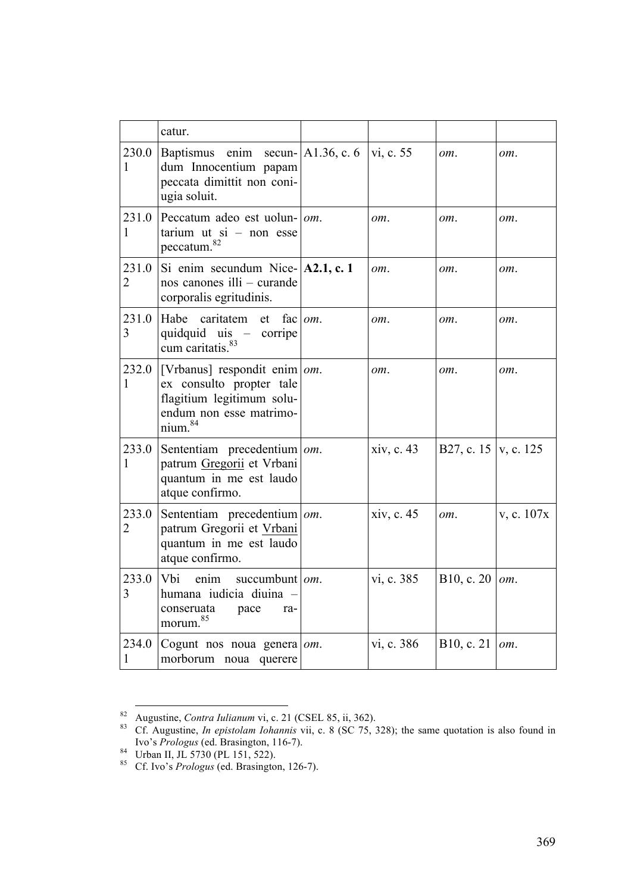|                         | catur.                                                                                                                                    |             |            |                        |               |
|-------------------------|-------------------------------------------------------------------------------------------------------------------------------------------|-------------|------------|------------------------|---------------|
| 230.0<br>1              | Baptismus enim secun- $ A1.36, c.6 $ vi, c. 55<br>dum Innocentium papam<br>peccata dimittit non coni-<br>ugia soluit.                     |             |            | om.                    | om.           |
| 231.0<br>1              | Peccatum adeo est uolun- $\vert$ <i>om</i> .<br>tarium ut $si$ – non esse<br>peccatum. <sup>82</sup>                                      |             | om.        | om.                    | om.           |
| 231.0<br>$\overline{2}$ | Si enim secundum Nice- $ A2.1, c.1 $<br>nos canones illi - curande<br>corporalis egritudinis.                                             |             | om.        | om.                    | om.           |
| 231.0<br>3              | Habe<br>caritatem<br>et<br>quidquid uis - corripe<br>cum caritatis. <sup>83</sup>                                                         | fac $ om$ . | om.        | om.                    | om.           |
| 232.0<br>1              | [Vrbanus] respondit enim   om.<br>ex consulto propter tale<br>flagitium legitimum solu-<br>endum non esse matrimo-<br>nium. <sup>84</sup> |             | $om_{-}$   | $om_{\alpha}$          | $om_{\alpha}$ |
| 233.0<br>1              | Sententiam precedentium $ om$ .<br>patrum Gregorii et Vrbani<br>quantum in me est laudo<br>atque confirmo.                                |             | xiv, c. 43 | B27, c. 15   v, c. 125 |               |
| 233.0<br>$\overline{2}$ | Sententiam precedentium $\vert$ om.<br>patrum Gregorii et Vrbani<br>quantum in me est laudo<br>atque confirmo.                            |             | xiv, c. 45 | om.                    | v, c. 107x    |
| 233.0<br>3              | Vbi<br>enim<br>succumbunt $ _{\textit{om}}$ .<br>humana iudicia diuina -<br>conseruata<br>pace<br>ra-<br>morum. <sup>85</sup>             |             | vi, c. 385 | B10, c. 20             | om.           |
| 234.0<br>1              | Cogunt nos noua genera om.<br>morborum noua querere                                                                                       |             | vi, c. 386 | B10, c. 21             | om.           |

<sup>&</sup>lt;sup>82</sup> Augustine, *Contra Iulianum* vi, c. 21 (CSEL 85, ii, 362).<br><sup>83</sup> Cf. Augustine, *In epistolam Iohannis* vii, c. 8 (SC 75, 328); the same quotation is also found in Ivo's *Prologus* (ed. Brasington, 116-7). <sup>84</sup> Urban II, JL 5730 (PL 151, 522). <sup>85</sup> Cf. Ivo's *Prologus* (ed. Brasington, 126-7).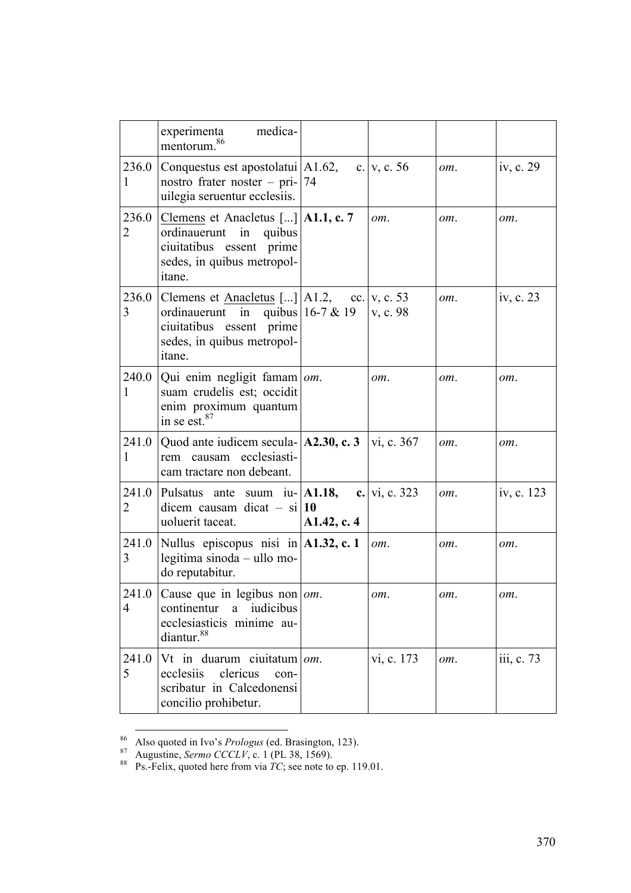|                         | medica-<br>experimenta<br>mentorum                                                                                                                                     |             |               |     |             |
|-------------------------|------------------------------------------------------------------------------------------------------------------------------------------------------------------------|-------------|---------------|-----|-------------|
| 236.0<br>1              | Conquestus est apostolatui   A1.62,<br>nostro frater noster – pri- $ 74$<br>uilegia seruentur ecclesiis.                                                               |             | c. $v, c. 56$ | om. | iv, c. $29$ |
| 236.0<br>$\overline{2}$ | Clemens et Anacletus [] $ $ A1.1, c. 7<br>ordinauerunt in<br>quibus<br>ciuitatibus essent prime<br>sedes, in quibus metropol-<br>itane.                                |             | om.           | om. | om.         |
| 3                       | 236.0 Clemens et $\Delta$ has let us []   A1.2, cc.   v, c. 53<br>ordinauerunt in quibus 16-7 & 19<br>ciuitatibus essent prime<br>sedes, in quibus metropol-<br>itane. |             | v, c. 98      | om. | iv, c. 23   |
| 1                       | 240.0 Qui enim negligit famam   $om$ .<br>suam crudelis est; occidit<br>enim proximum quantum<br>in se est. <sup>87</sup>                                              |             | om.           | om. | om.         |
| 241.0<br>1              | Quod ante iudicem secula- $ A2.30, c.3\rangle$<br>rem causam ecclesiasti-<br>cam tractare non debeant.                                                                 |             | vi, c. 367    | om. | om.         |
| 241.0<br>2              | Pulsatus ante suum iu- $ A1.18$ ,<br>dicem causam dicat $-$ si $ 10\rangle$<br>uoluerit taceat.                                                                        | A1.42, c. 4 | c. vi, c. 323 | om. | iv, c. 123  |
| 241.0<br>3              | Nullus episcopus nisi in $ A1.32, c.1 $<br>legitima sinoda - ullo mo-<br>do reputabitur.                                                                               |             | om.           | om. | om.         |
| 241.0<br>$\overline{4}$ | Cause que in legibus non $\vert$ om.<br>iudicibus<br>continentur<br>a<br>ecclesiasticis minime au-<br>diantur. <sup>88</sup>                                           |             | om.           | om. | om.         |
| 241.0<br>5              | Vt in duarum ciuitatum<br>clericus<br>ecclesiis<br>con-<br>scribatur in Calcedonensi<br>concilio prohibetur.                                                           | om.         | vi, c. 173    | om. | iii, c. 73  |

<sup>86</sup> Also quoted in Ivo's *Prologus* (ed. Brasington, 123).<br><sup>87</sup> Augustine, *Sermo CCCLV*, c. 1 (PL 38, 1569).<br><sup>88</sup> Ps.-Felix, quoted here from via *TC*; see note to ep. 119.01.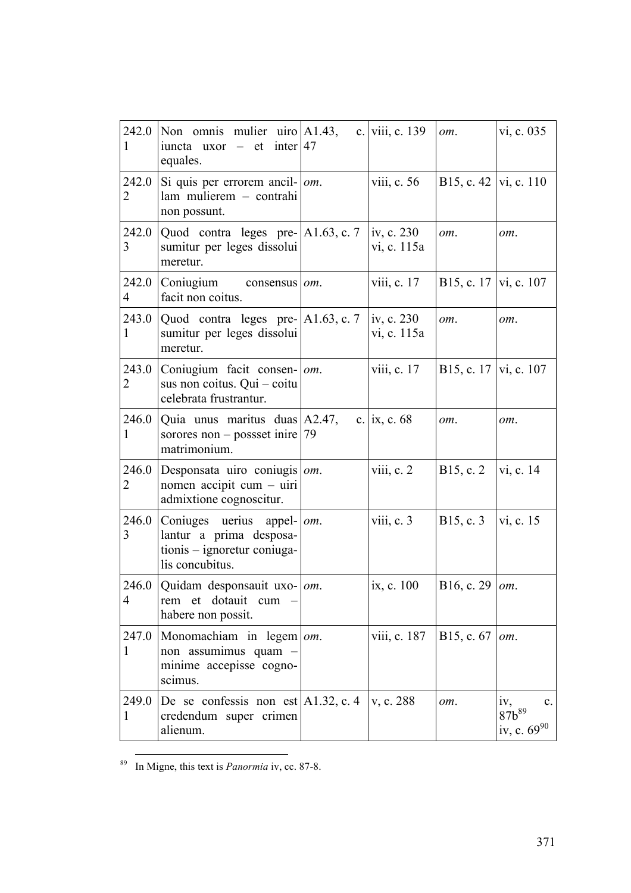| 242.0<br>1              | Non omnis mulier uiro $A1.43$ ,<br>iuncta uxor – et inter 47<br>equales.                            |     | c. viii, c. 139                         | om.                        | vi, c. 035                                                     |
|-------------------------|-----------------------------------------------------------------------------------------------------|-----|-----------------------------------------|----------------------------|----------------------------------------------------------------|
| 242.0<br>2              | Si quis per errorem ancil- $\vert$ <i>om</i> .<br>lam mulierem - contrahi<br>non possunt.           |     | viii, c. 56                             | B15, c. 42   vi, c. 110    |                                                                |
| 242.0<br>3              | $\vert$ Quod contra leges pre- $\vert$ A1.63, c. 7<br>sumitur per leges dissolui<br>meretur.        |     | iv, c. $230$<br>vi, c. 115a             | om.                        | om.                                                            |
| 242.0<br>$\overline{4}$ | Coniugium<br>consensus <i>om</i> .<br>facit non coitus.                                             |     | viii, c. $17$                           | B15, c. 17   vi, c. 107    |                                                                |
| 243.0<br>1              | Quod contra leges pre- $ A1.63, c.7 $<br>sumitur per leges dissolui<br>meretur.                     |     | iv, c. 230<br>vi, c. 115a               | om.                        | om.                                                            |
| 243.0<br>2              | Coniugium facit consen- om.<br>sus non coitus. Qui - coitu<br>celebrata frustrantur.                |     | viii, c. 17                             | B15, c. 17   vi, c. 107    |                                                                |
| 246.0<br>1              | Quia unus maritus duas A2.47,<br>sorores non – possset inire $ 79$<br>matrimonium.                  |     | c.   ix, c. $68$                        | om.                        | om.                                                            |
| 246.0<br>$\overline{2}$ | Desponsata uiro coniugis<br>nomen accipit cum - uiri<br>admixtione cognoscitur.                     | om. | viii, c. 2                              | B15, c. 2                  | vi, c. 14                                                      |
| 246.0<br>3              | Coniuges uerius appel-<br>lantur a prima desposa-<br>tionis - ignoretur coniuga-<br>lis concubitus. | om. | viii, $c.3$                             | B15, c. 3                  | vi, c. 15                                                      |
| $\overline{4}$          | 246.0 Quidam desponsauit uxo- $\vert$ <i>om</i> .<br>rem et dotauit cum -<br>habere non possit.     |     | ix, c. 100                              | B16, c. 29   $\text{o}m$ . |                                                                |
| 247.0<br>$\mathbf{1}$   | Monomachiam in legem $\vert$ om.<br>non assumimus quam<br>minime accepisse cogno-<br>scimus.        |     | viii, c. 187   B15, c. 67   <i>om</i> . |                            |                                                                |
| 249.0<br>1              | De se confessis non est $A1.32$ , c. 4<br>credendum super crimen<br>alienum.                        |     | $\vert v, c. 288 \vert$                 | om.                        | iv,<br>$87b^{89}$<br>$\mathbf{c}$ .<br>iv, c. 69 <sup>90</sup> |

<sup>89</sup> In Migne, this text is *Panormia* iv, cc. 87-8.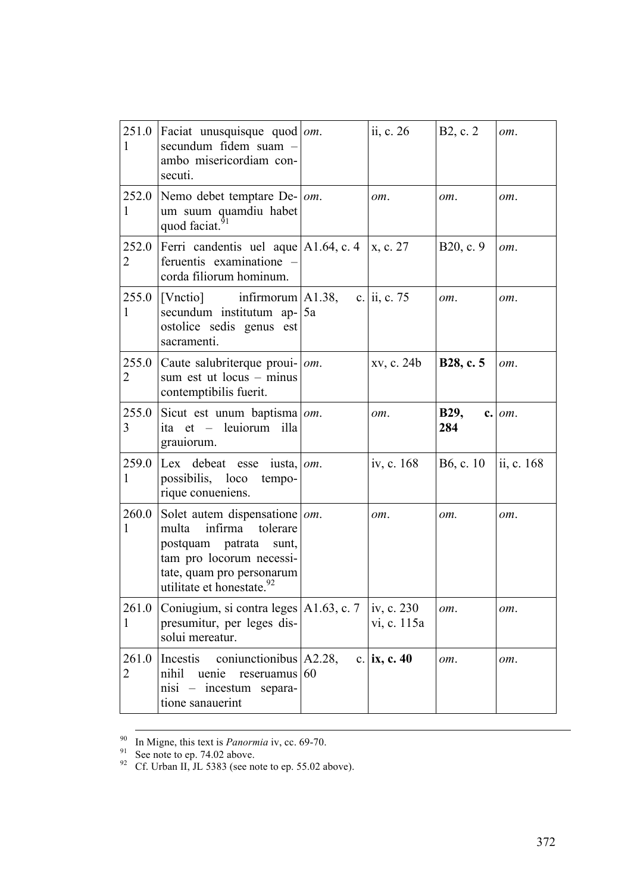| 1                       | 251.0 Faciat unusquisque quod   $om$ .<br>secundum fidem suam<br>ambo misericordiam con-<br>secuti.                                                                                              |    | ii, c. 26                 | B <sub>2</sub> , c. 2  | om.        |
|-------------------------|--------------------------------------------------------------------------------------------------------------------------------------------------------------------------------------------------|----|---------------------------|------------------------|------------|
| 252.0<br>1              | Nemo debet temptare De-   om.<br>um suum quamdiu habet<br>quod faciat.                                                                                                                           |    | om.                       | om.                    | om.        |
| 252.0<br>$\overline{2}$ | Ferri candentis uel aque $ A1.64, c.4 $<br>feruentis examinatione<br>corda filiorum hominum.                                                                                                     |    | x, c. 27                  | B20, c. 9              | om.        |
| 1                       | $255.0$ [Vnctio] infirmorum A1.38,<br>secundum institutum ap-15a<br>ostolice sedis genus est<br>sacramenti.                                                                                      |    | c. ii, c. 75              | om.                    | om.        |
| 255.0<br>$\overline{2}$ | Caute salubriterque proui-   om.<br>sum est ut locus - minus<br>contemptibilis fuerit.                                                                                                           |    | xv, c. 24b                | B28, c. 5              | om.        |
| 255.0<br>3              | Sicut est unum baptisma $ om$ .<br>ita et - leuiorum illa<br>grauiorum.                                                                                                                          |    | om.                       | <b>B29,</b><br>284     | $c.$ $om.$ |
| 259.0<br>1              | Lex debeat esse<br>iusta, $\omega$ .<br>possibilis, loco tempo-<br>rique conueniens.                                                                                                             |    | iv, c. 168                | B <sub>6</sub> , c. 10 | ii, c. 168 |
| 260.0<br>1              | Solet autem dispensatione $ om$ .<br>multa<br>infirma<br>tolerare<br>postquam patrata<br>sunt,<br>tam pro locorum necessi-<br>tate, quam pro personarum<br>utilitate et honestate. <sup>92</sup> |    | om.                       | om.                    | om.        |
| 261.0<br>1              | Coniugium, si contra leges $ A1.63, c. 7 $<br>presumitur, per leges dis-<br>solui mereatur.                                                                                                      |    | iv, c. 230<br>vi, c. 115a | om.                    | om.        |
| 261.0<br>2              | Incestis<br>conjunctionibus $A2.28$ ,<br>nihil<br>uenie<br>reseruamus<br>nisi – incestum separa-<br>tione sanauerint                                                                             | 60 | c.   ix, c. 40            | om.                    | om.        |

<sup>&</sup>lt;sup>90</sup> In Migne, this text is *Panormia* iv, cc. 69-70.<br><sup>91</sup> See note to ep. 74.02 above.<br><sup>92</sup> Cf. Urban II, JL 5383 (see note to ep. 55.02 above).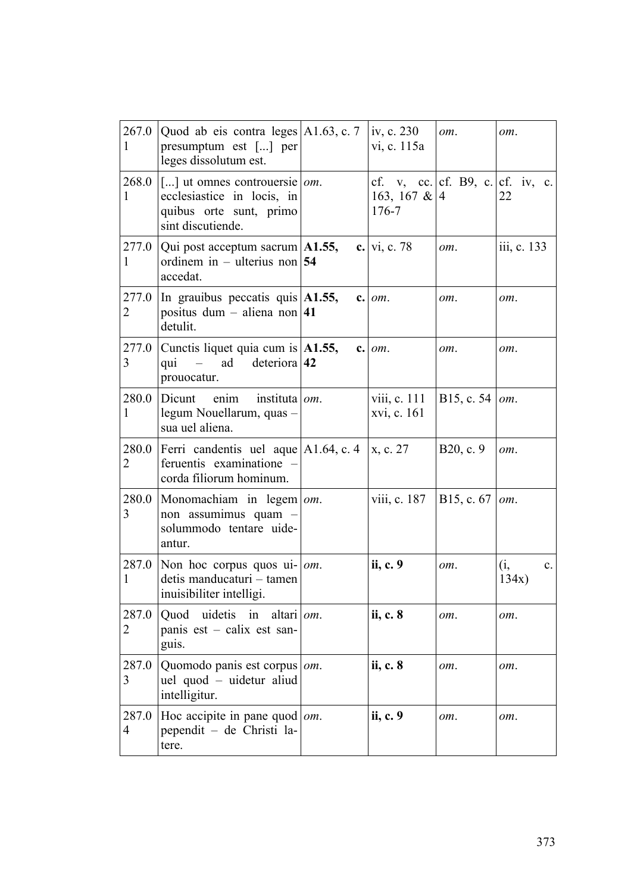| 267.0<br>1              | Quod ab eis contra leges $ A1.63, c.7\rangle$<br>presumptum est [] per<br>leges dissolutum est.                   |     | iv, c. 230<br>vi, c. 115a                                        | om.                          | om.                            |
|-------------------------|-------------------------------------------------------------------------------------------------------------------|-----|------------------------------------------------------------------|------------------------------|--------------------------------|
| 268.0<br>1              | [] ut omnes controuersie $\omega$ .<br>ecclesiastice in locis, in<br>quibus orte sunt, primo<br>sint discutiende. |     | cf. v, cc. cf. B9, c. cf. iv, c.<br>163, 167 & $ 4$<br>$176 - 7$ |                              | 22                             |
| 277.0<br>1              | Qui post acceptum sacrum $ $ A1.55,<br>ordinem in – ulterius non 54<br>accedat.                                   |     | c. $vi, c. 78$                                                   | om.                          | iii, c. 133                    |
| 277.0<br>2              | In grauibus peccatis quis $ A1.55$ ,<br>positus dum – aliena non 41<br>detulit.                                   |     | $c.$ $om.$                                                       | om.                          | om.                            |
| 3                       | 277.0 Cunctis liquet quia cum is $ A1.55$ ,<br>$\sim$ $-$<br>ad<br>deteriora $ 42$<br>qui<br>prouocatur.          |     | $c.$ $om.$                                                       | om.                          | om.                            |
| 280.0<br>1              | Dicunt<br>enim<br>instituta   <i>om</i> .<br>legum Nouellarum, quas -<br>sua uel aliena.                          |     | viii, c. 111<br>xvi, c. 161                                      | B15, c. 54   $\text{o}m$ .   |                                |
| 280.0<br>2              | Ferri candentis uel aque $ A1.64, c.4 $<br>feruentis examinatione -<br>corda filiorum hominum.                    |     | x, c. 27                                                         | B20, c. 9                    | om.                            |
| 280.0<br>3              | Monomachiam in $legem   om$ .<br>non assumimus quam -<br>solummodo tentare uide-<br>antur.                        |     | viii, c. 187                                                     | B15, c. $67$   $\text{o}m$ . |                                |
| 287.0<br>$\mathbf{1}$   | Non hoc corpus quos $ui$ -   <i>om</i> .<br>detis manducaturi - tamen<br>inuisibiliter intelligi.                 |     | ii, c. 9                                                         | om.                          | (i,<br>$\mathbf{c}$ .<br>134x) |
| 287.0<br>2              | uidetis<br>Quod<br>in<br>altari <i>om</i> .<br>panis est – calix est san-<br>guis.                                |     | ii, c. 8                                                         | om.                          | om.                            |
| 287.0<br>3              | Quomodo panis est corpus<br>uel quod – uidetur aliud<br>intelligitur.                                             | om. | ii, c. 8                                                         | om.                          | om.                            |
| 287.0<br>$\overline{4}$ | Hoc accipite in pane quod $ om$ .<br>pependit - de Christi la-<br>tere.                                           |     | ii, c. 9                                                         | om.                          | om.                            |